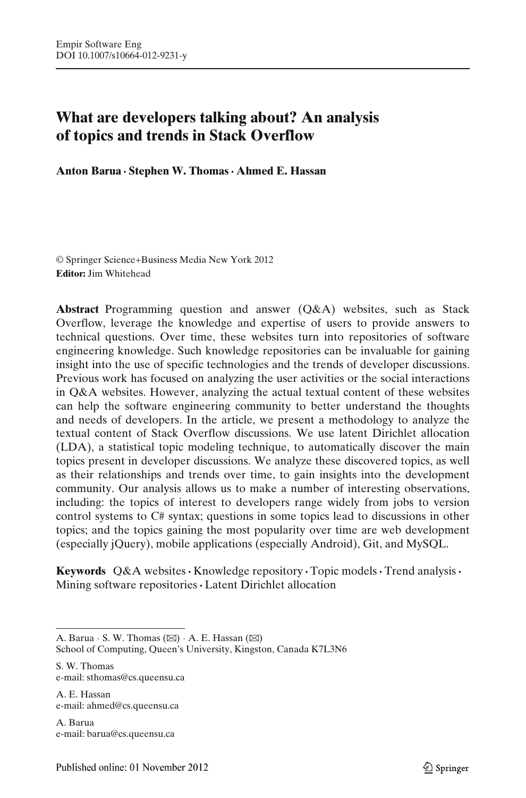# **What are developers talking about? An analysis of topics and trends in Stack Overflow**

**Anton Barua · Stephen W. Thomas· Ahmed E. Hassan**

© Springer Science+Business Media New York 2012 **Editor:** Jim Whitehead

**Abstract** Programming question and answer (Q&A) websites, such as Stack Overflow, leverage the knowledge and expertise of users to provide answers to technical questions. Over time, these websites turn into repositories of software engineering knowledge. Such knowledge repositories can be invaluable for gaining insight into the use of specific technologies and the trends of developer discussions. Previous work has focused on analyzing the user activities or the social interactions in Q&A websites. However, analyzing the actual textual content of these websites can help the software engineering community to better understand the thoughts and needs of developers. In the article, we present a methodology to analyze the textual content of Stack Overflow discussions. We use latent Dirichlet allocation (LDA), a statistical topic modeling technique, to automatically discover the main topics present in developer discussions. We analyze these discovered topics, as well as their relationships and trends over time, to gain insights into the development community. Our analysis allows us to make a number of interesting observations, including: the topics of interest to developers range widely from jobs to version control systems to C# syntax; questions in some topics lead to discussions in other topics; and the topics gaining the most popularity over time are web development (especially jQuery), mobile applications (especially Android), Git, and MySQL.

**Keywords** Q&A websites**·** Knowledge repository **·**Topic models**·**Trend analysis**·** Mining software repositories**·**Latent Dirichlet allocation

A. Barua  $\cdot$  S. W. Thomas ( $\boxtimes$ )  $\cdot$  A. E. Hassan ( $\boxtimes$ )

School of Computing, Queen's University, Kingston, Canada K7L3N6

S. W. Thomas e-mail: sthomas@cs.queensu.ca

A. E. Hassan e-mail: ahmed@cs.queensu.ca

A. Barua e-mail: barua@cs.queensu.ca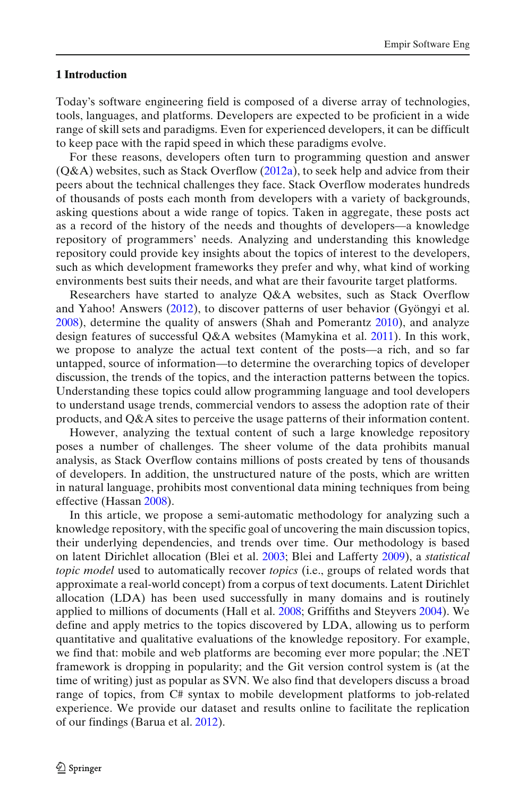#### **1 Introduction**

Today's software engineering field is composed of a diverse array of technologies, tools, languages, and platforms. Developers are expected to be proficient in a wide range of skill sets and paradigms. Even for experienced developers, it can be difficult to keep pace with the rapid speed in which these paradigms evolve.

For these reasons, developers often turn to programming question and answer  $(Q&A)$  websites, such as Stack Overflow  $(2012a)$ , to seek help and advice from their peers about the technical challenges they face. Stack Overflow moderates hundreds of thousands of posts each month from developers with a variety of backgrounds, asking questions about a wide range of topics. Taken in aggregate, these posts act as a record of the history of the needs and thoughts of developers—a knowledge repository of programmers' needs. Analyzing and understanding this knowledge repository could provide key insights about the topics of interest to the developers, such as which development frameworks they prefer and why, what kind of working environments best suits their needs, and what are their favourite target platforms.

Researchers have started to analyze Q&A websites, such as Stack Overflow and Yahoo! Answers [\(2012\)](#page-34-0), to discover patterns of user behavior (Gyöngyi et al[.](#page-33-0) [2008\)](#page-33-0), determine the quality of answers (Shah and Pomerant[z](#page-34-0) [2010\)](#page-34-0), and analyze design features of successful Q&A websites (Mamykina et al[.](#page-33-0) [2011](#page-33-0)). In this work, we propose to analyze the actual text content of the posts—a rich, and so far untapped, source of information—to determine the overarching topics of developer discussion, the trends of the topics, and the interaction patterns between the topics. Understanding these topics could allow programming language and tool developers to understand usage trends, commercial vendors to assess the adoption rate of their products, and Q&A sites to perceive the usage patterns of their information content.

However, analyzing the textual content of such a large knowledge repository poses a number of challenges. The sheer volume of the data prohibits manual analysis, as Stack Overflow contains millions of posts created by tens of thousands of developers. In addition, the unstructured nature of the posts, which are written in natural language, prohibits most conventional data mining techniques from being effective (Hassa[n](#page-33-0) [2008\)](#page-33-0).

In this article, we propose a semi-automatic methodology for analyzing such a knowledge repository, with the specific goal of uncovering the main discussion topics, their underlying dependencies, and trends over time. Our methodology is based on latent Dirichlet allocation (Blei et al[.](#page-33-0) [2003](#page-33-0); Blei and Laffert[y](#page-33-0) [2009](#page-33-0)), a *statistical topic model* used to automatically recover *topics* (i.e., groups of related words that approximate a real-world concept) from a corpus of text documents. Latent Dirichlet allocation (LDA) has been used successfully in many domains and is routinely applied to millions of documents (Hall et al[.](#page-33-0) [2008;](#page-33-0) Griffiths and Steyver[s](#page-33-0) [2004\)](#page-33-0). We define and apply metrics to the topics discovered by LDA, allowing us to perform quantitative and qualitative evaluations of the knowledge repository. For example, we find that: mobile and web platforms are becoming ever more popular; the .NET framework is dropping in popularity; and the Git version control system is (at the time of writing) just as popular as SVN. We also find that developers discuss a broad range of topics, from C# syntax to mobile development platforms to job-related experience. We provide our dataset and results online to facilitate the replication of our findings (Barua et al[.](#page-33-0) [2012](#page-33-0)).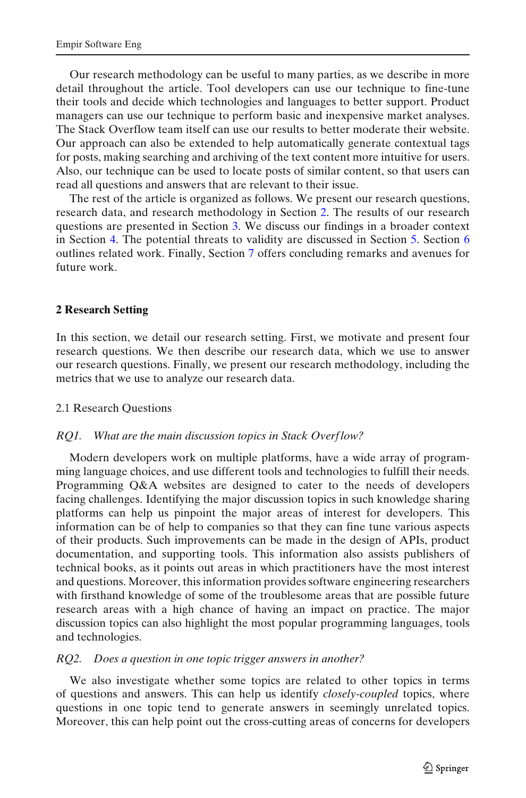Our research methodology can be useful to many parties, as we describe in more detail throughout the article. Tool developers can use our technique to fine-tune their tools and decide which technologies and languages to better support. Product managers can use our technique to perform basic and inexpensive market analyses. The Stack Overflow team itself can use our results to better moderate their website. Our approach can also be extended to help automatically generate contextual tags for posts, making searching and archiving of the text content more intuitive for users. Also, our technique can be used to locate posts of similar content, so that users can read all questions and answers that are relevant to their issue.

The rest of the article is organized as follows. We present our research questions, research data, and research methodology in Section 2. The results of our research questions are presented in Section [3.](#page-10-0) We discuss our findings in a broader context in Section [4.](#page-22-0) The potential threats to validity are discussed in Section [5.](#page-26-0) Section [6](#page-27-0) outlines related work. Finally, Section [7](#page-29-0) offers concluding remarks and avenues for future work.

### **2 Research Setting**

In this section, we detail our research setting. First, we motivate and present four research questions. We then describe our research data, which we use to answer our research questions. Finally, we present our research methodology, including the metrics that we use to analyze our research data.

### 2.1 Research Questions

#### *RQ1. What are the main discussion topics in Stack Overf low?*

Modern developers work on multiple platforms, have a wide array of programming language choices, and use different tools and technologies to fulfill their needs. Programming Q&A websites are designed to cater to the needs of developers facing challenges. Identifying the major discussion topics in such knowledge sharing platforms can help us pinpoint the major areas of interest for developers. This information can be of help to companies so that they can fine tune various aspects of their products. Such improvements can be made in the design of APIs, product documentation, and supporting tools. This information also assists publishers of technical books, as it points out areas in which practitioners have the most interest and questions. Moreover, this information provides software engineering researchers with firsthand knowledge of some of the troublesome areas that are possible future research areas with a high chance of having an impact on practice. The major discussion topics can also highlight the most popular programming languages, tools and technologies.

### *RQ2. Does a question in one topic trigger answers in another?*

We also investigate whether some topics are related to other topics in terms of questions and answers. This can help us identify *closely-coupled* topics, where questions in one topic tend to generate answers in seemingly unrelated topics. Moreover, this can help point out the cross-cutting areas of concerns for developers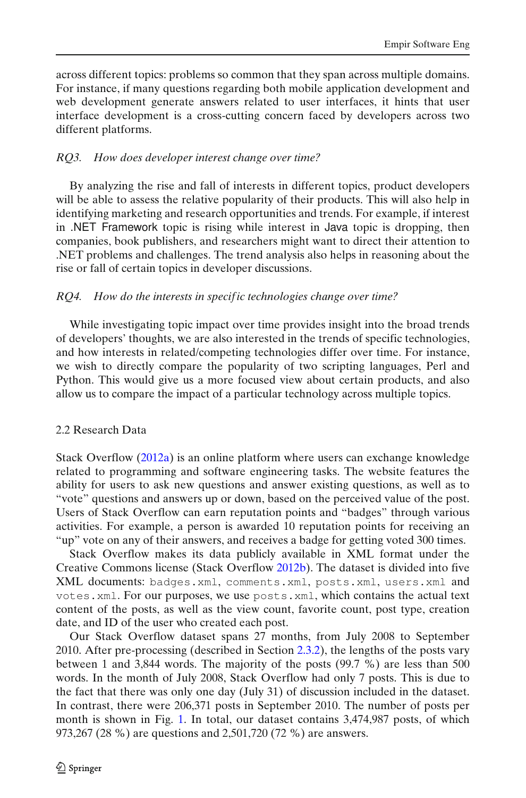across different topics: problems so common that they span across multiple domains. For instance, if many questions regarding both mobile application development and web development generate answers related to user interfaces, it hints that user interface development is a cross-cutting concern faced by developers across two different platforms.

### *RQ3. How does developer interest change over time?*

By analyzing the rise and fall of interests in different topics, product developers will be able to assess the relative popularity of their products. This will also help in identifying marketing and research opportunities and trends. For example, if interest in .NET Framework topic is rising while interest in Java topic is dropping, then companies, book publishers, and researchers might want to direct their attention to .NET problems and challenges. The trend analysis also helps in reasoning about the rise or fall of certain topics in developer discussions.

### *RQ4. How do the interests in specif ic technologies change over time?*

While investigating topic impact over time provides insight into the broad trends of developers' thoughts, we are also interested in the trends of specific technologies, and how interests in related/competing technologies differ over time. For instance, we wish to directly compare the popularity of two scripting languages, Perl and Python. This would give us a more focused view about certain products, and also allow us to compare the impact of a particular technology across multiple topics.

### 2.2 Research Data

Stack Overflow [\(2012a\)](#page-34-0) is an online platform where users can exchange knowledge related to programming and software engineering tasks. The website features the ability for users to ask new questions and answer existing questions, as well as to "vote" questions and answers up or down, based on the perceived value of the post. Users of Stack Overflow can earn reputation points and "badges" through various activities. For example, a person is awarded 10 reputation points for receiving an "up" vote on any of their answers, and receives a badge for getting voted 300 times.

Stack Overflow makes its data publicly available in XML format under the Creative Commons license (Stack Overflo[w](#page-34-0) [2012b\)](#page-34-0). The dataset is divided into five XML documents: badges.xml, comments.xml, posts.xml, users.xml and votes.xml. For our purposes, we use posts.xml, which contains the actual text content of the posts, as well as the view count, favorite count, post type, creation date, and ID of the user who created each post.

Our Stack Overflow dataset spans 27 months, from July 2008 to September 2010. After pre-processing (described in Section [2.3.2\)](#page-6-0), the lengths of the posts vary between 1 and 3,844 words. The majority of the posts (99.7 %) are less than 500 words. In the month of July 2008, Stack Overflow had only 7 posts. This is due to the fact that there was only one day (July 31) of discussion included in the dataset. In contrast, there were 206,371 posts in September 2010. The number of posts per month is shown in Fig. [1.](#page-4-0) In total, our dataset contains 3,474,987 posts, of which 973,267 (28 %) are questions and 2,501,720 (72 %) are answers.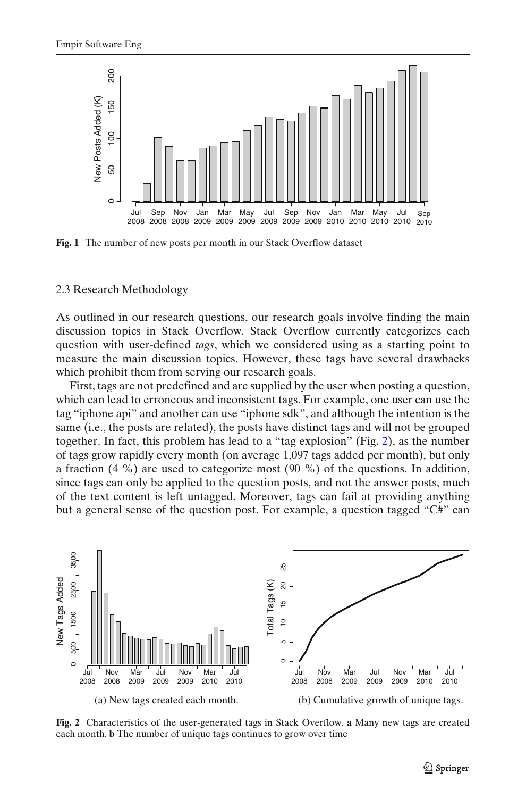<span id="page-4-0"></span>

**Fig. 1** The number of new posts per month in our Stack Overflow dataset

#### 2.3 Research Methodology

As outlined in our research questions, our research goals involve finding the main discussion topics in Stack Overflow. Stack Overflow currently categorizes each question with user-defined *tags*, which we considered using as a starting point to measure the main discussion topics. However, these tags have several drawbacks which prohibit them from serving our research goals.

First, tags are not predefined and are supplied by the user when posting a question, which can lead to erroneous and inconsistent tags. For example, one user can use the tag "iphone api" and another can use "iphone sdk", and although the intention is the same (i.e., the posts are related), the posts have distinct tags and will not be grouped together. In fact, this problem has lead to a "tag explosion" (Fig. 2), as the number of tags grow rapidly every month (on average 1,097 tags added per month), but only a fraction (4 %) are used to categorize most (90 %) of the questions. In addition, since tags can only be applied to the question posts, and not the answer posts, much of the text content is left untagged. Moreover, tags can fail at providing anything but a general sense of the question post. For example, a question tagged "C#" can



**Fig. 2** Characteristics of the user-generated tags in Stack Overflow. **a** Many new tags are created each month. **b** The number of unique tags continues to grow over time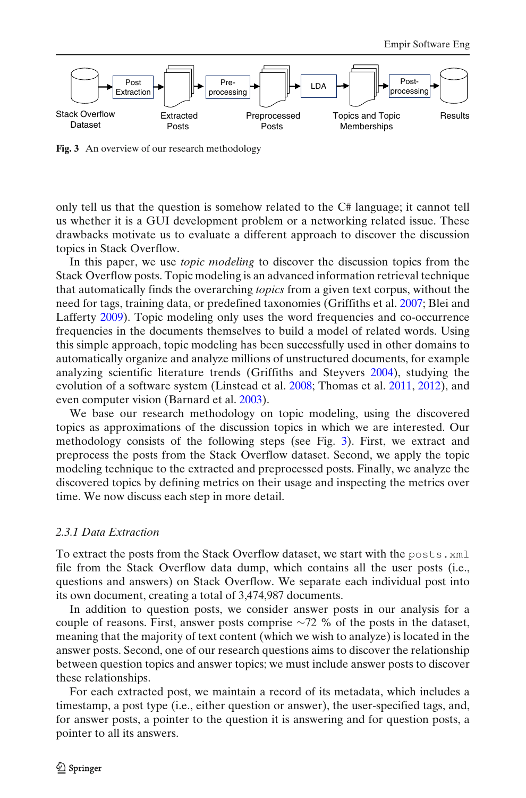

**Fig. 3** An overview of our research methodology

only tell us that the question is somehow related to the C# language; it cannot tell us whether it is a GUI development problem or a networking related issue. These drawbacks motivate us to evaluate a different approach to discover the discussion topics in Stack Overflow.

In this paper, we use *topic modeling* to discover the discussion topics from the Stack Overflow posts. Topic modeling is an advanced information retrieval technique that automatically finds the overarching *topics* from a given text corpus, without the need for tags, training data, or predefined taxonomies (Griffiths et al[.](#page-33-0) [2007](#page-33-0); Blei and Laffert[y](#page-33-0) [2009\)](#page-33-0). Topic modeling only uses the word frequencies and co-occurrence frequencies in the documents themselves to build a model of related words. Using this simple approach, topic modeling has been successfully used in other domains to automatically organize and analyze millions of unstructured documents, for example analyzing scientific literature trends (Griffiths and Steyver[s](#page-33-0) [2004\)](#page-33-0), studying the evolution of a software system (Linstead et al. [2008;](#page-33-0) Thomas et al. [2011](#page-34-0), [2012](#page-34-0)), and even computer vision (Barnard et al[.](#page-32-0) [2003](#page-32-0)).

We base our research methodology on topic modeling, using the discovered topics as approximations of the discussion topics in which we are interested. Our methodology consists of the following steps (see Fig. 3). First, we extract and preprocess the posts from the Stack Overflow dataset. Second, we apply the topic modeling technique to the extracted and preprocessed posts. Finally, we analyze the discovered topics by defining metrics on their usage and inspecting the metrics over time. We now discuss each step in more detail.

#### *2.3.1 Data Extraction*

To extract the posts from the Stack Overflow dataset, we start with the posts.xml file from the Stack Overflow data dump, which contains all the user posts (i.e., questions and answers) on Stack Overflow. We separate each individual post into its own document, creating a total of 3,474,987 documents.

In addition to question posts, we consider answer posts in our analysis for a couple of reasons. First, answer posts comprise ∼72 % of the posts in the dataset, meaning that the majority of text content (which we wish to analyze) is located in the answer posts. Second, one of our research questions aims to discover the relationship between question topics and answer topics; we must include answer posts to discover these relationships.

For each extracted post, we maintain a record of its metadata, which includes a timestamp, a post type (i.e., either question or answer), the user-specified tags, and, for answer posts, a pointer to the question it is answering and for question posts, a pointer to all its answers.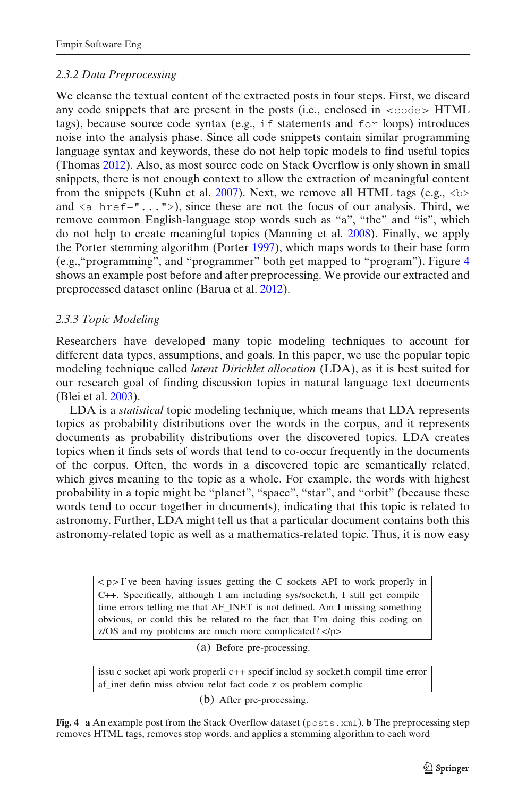# <span id="page-6-0"></span>*2.3.2 Data Preprocessing*

We cleanse the textual content of the extracted posts in four steps. First, we discard any code snippets that are present in the posts (i.e., enclosed in  $\lt$ code $\gt$  HTML tags), because source code syntax (e.g.,  $\pm$  f statements and  $\pm$  or loops) introduces noise into the analysis phase. Since all code snippets contain similar programming language syntax and keywords, these do not help topic models to find useful topics (Thoma[s](#page-34-0) [2012](#page-34-0)). Also, as most source code on Stack Overflow is only shown in small snippets, there is not enough context to allow the extraction of meaningful content from the snippets (Kuhn et al[.](#page-33-0) [2007](#page-33-0)). Next, we remove all HTML tags (e.g.,  $\langle b \rangle$ ) and  $\leq a$  href=" $\dots$ ">), since these are not the focus of our analysis. Third, we remove common English-language stop words such as "a", "the" and "is", which do not help to create meaningful topics (Manning et al[.](#page-33-0) [2008\)](#page-33-0). Finally, we apply the Porter stemming algorithm (Porte[r](#page-34-0) [1997\)](#page-34-0), which maps words to their base form (e.g.,"programming", and "programmer" both get mapped to "program"). Figure 4 shows an example post before and after preprocessing. We provide our extracted and preprocessed dataset online (Barua et al[.](#page-33-0) [2012\)](#page-33-0).

# *2.3.3 Topic Modeling*

Researchers have developed many topic modeling techniques to account for different data types, assumptions, and goals. In this paper, we use the popular topic modeling technique called *latent Dirichlet allocation* (LDA), as it is best suited for our research goal of finding discussion topics in natural language text documents (Blei et al[.](#page-33-0) [2003](#page-33-0)).

LDA is a *statistical* topic modeling technique, which means that LDA represents topics as probability distributions over the words in the corpus, and it represents documents as probability distributions over the discovered topics. LDA creates topics when it finds sets of words that tend to co-occur frequently in the documents of the corpus. Often, the words in a discovered topic are semantically related, which gives meaning to the topic as a whole. For example, the words with highest probability in a topic might be "planet", "space", "star", and "orbit" (because these words tend to occur together in documents), indicating that this topic is related to astronomy. Further, LDA might tell us that a particular document contains both this astronomy-related topic as well as a mathematics-related topic. Thus, it is now easy

 $\langle p \rangle$  I've been having issues getting the C sockets API to work properly in C++. Specifically, although I am including sys/socket.h, I still get compile time errors telling me that AF\_INET is not defined. Am I missing something obvious, or could this be related to the fact that I'm doing this coding on z/OS and my problems are much more complicated? </p>

(a) Before pre-processing.

issu c socket api work properli c++ specif includ sy socket.h compil time error af\_inet defin miss obviou relat fact code z os problem complic

(b) After pre-processing.

**Fig. 4** a An example post from the Stack Overflow dataset (posts.xml). **b** The preprocessing step removes HTML tags, removes stop words, and applies a stemming algorithm to each word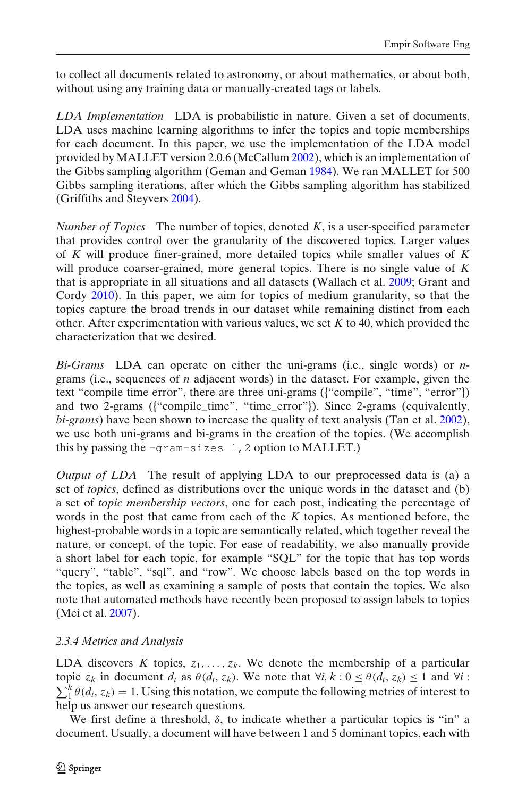to collect all documents related to astronomy, or about mathematics, or about both, without using any training data or manually-created tags or labels.

*LDA Implementation* LDA is probabilistic in nature. Given a set of documents, LDA uses machine learning algorithms to infer the topics and topic memberships for each document. In this paper, we use the implementation of the LDA model provided by MALLET version 2.0.6 (McCallu[m](#page-33-0) [2002\)](#page-33-0), which is an implementation of the Gibbs sampling algorithm (Geman and Gema[n](#page-33-0) [1984\)](#page-33-0). We ran MALLET for 500 Gibbs sampling iterations, after which the Gibbs sampling algorithm has stabilized (Griffiths and Steyver[s](#page-33-0) [2004](#page-33-0)).

*Number of Topics* The number of topics, denoted *K*, is a user-specified parameter that provides control over the granularity of the discovered topics. Larger values of *K* will produce finer-grained, more detailed topics while smaller values of *K* will produce coarser-grained, more general topics. There is no single value of *K* that is appropriate in all situations and all datasets (Wallach et al[.](#page-34-0) [2009](#page-34-0); Grant and Cord[y](#page-33-0) [2010](#page-33-0)). In this paper, we aim for topics of medium granularity, so that the topics capture the broad trends in our dataset while remaining distinct from each other. After experimentation with various values, we set *K* to 40, which provided the characterization that we desired.

*Bi-Grams* LDA can operate on either the uni-grams (i.e., single words) or *n*grams (i.e., sequences of *n* adjacent words) in the dataset. For example, given the text "compile time error", there are three uni-grams ({"compile", "time", "error"}) and two 2-grams ({"compile\_time", "time\_error"}). Since 2-grams (equivalently, *bi-grams*) have been shown to increase the quality of text analysis (Tan et al[.](#page-34-0) [2002\)](#page-34-0), we use both uni-grams and bi-grams in the creation of the topics. (We accomplish this by passing the  $-$ gram $-$ sizes 1, 2 option to MALLET.)

*Output of LDA* The result of applying LDA to our preprocessed data is (a) a set of *topics*, defined as distributions over the unique words in the dataset and (b) a set of *topic membership vectors*, one for each post, indicating the percentage of words in the post that came from each of the *K* topics. As mentioned before, the highest-probable words in a topic are semantically related, which together reveal the nature, or concept, of the topic. For ease of readability, we also manually provide a short label for each topic, for example "SQL" for the topic that has top words "query", "table", "sql", and "row". We choose labels based on the top words in the topics, as well as examining a sample of posts that contain the topics. We also note that automated methods have recently been proposed to assign labels to topics (Mei et al[.](#page-33-0) [2007\)](#page-33-0).

# *2.3.4 Metrics and Analysis*

LDA discovers *K* topics,  $z_1, \ldots, z_k$ . We denote the membership of a particular topic  $z_k$  in document  $d_i$  as  $\theta(d_i, z_k)$ . We note that  $\forall i, k : 0 \leq \theta(d_i, z_k) \leq 1$  and  $\forall i$ :  $\sum_{i=1}^{k} \theta(d_i, z_k) = 1$ . Using this notation, we compute the following metrics of interest to help us answer our research questions.

We first define a threshold,  $\delta$ , to indicate whether a particular topics is "in" a document. Usually, a document will have between 1 and 5 dominant topics, each with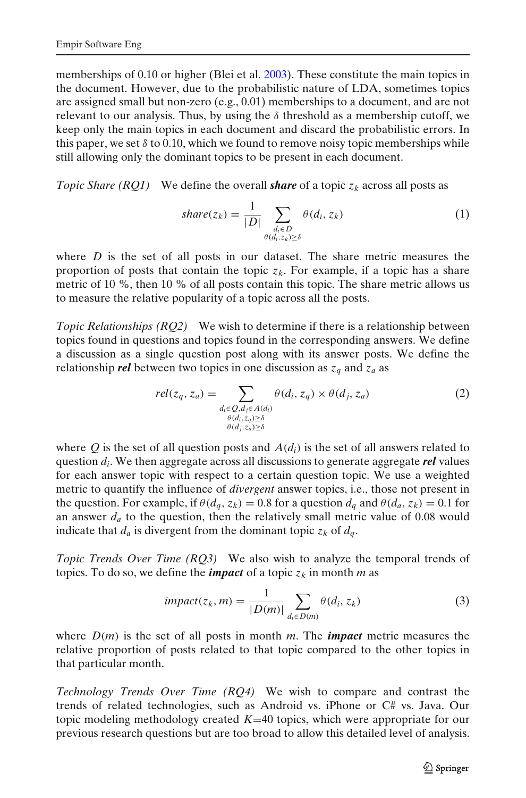<span id="page-8-0"></span>memberships of 0.10 or higher (Blei et al[.](#page-33-0) [2003\)](#page-33-0). These constitute the main topics in the document. However, due to the probabilistic nature of LDA, sometimes topics are assigned small but non-zero (e.g., 0.01) memberships to a document, and are not relevant to our analysis. Thus, by using the  $\delta$  threshold as a membership cutoff, we keep only the main topics in each document and discard the probabilistic errors. In this paper, we set  $\delta$  to 0.10, which we found to remove noisy topic memberships while still allowing only the dominant topics to be present in each document.

*Topic Share (RQ1)* We define the overall *share* of a topic  $z_k$  across all posts as

$$
share(z_k) = \frac{1}{|D|} \sum_{\substack{d_i \in D \\ \theta(d_i, z_k) \ge \delta}} \theta(d_i, z_k)
$$
 (1)

where *D* is the set of all posts in our dataset. The share metric measures the proportion of posts that contain the topic  $z_k$ . For example, if a topic has a share metric of 10 %, then 10 % of all posts contain this topic. The share metric allows us to measure the relative popularity of a topic across all the posts.

*Topic Relationships (RQ2)* We wish to determine if there is a relationship between topics found in questions and topics found in the corresponding answers. We define a discussion as a single question post along with its answer posts. We define the relationship *rel* between two topics in one discussion as  $z_q$  and  $z_q$  as

$$
rel(z_q, z_a) = \sum_{\substack{d_i \in Q, d_j \in A(d_i) \\ \theta(d_i, z_q) \ge \delta \\ \theta(d_j, z_a) \ge \delta}} \theta(d_i, z_q) \times \theta(d_j, z_a)
$$
 (2)

where Q is the set of all question posts and  $A(d_i)$  is the set of all answers related to question *di*. We then aggregate across all discussions to generate aggregate *rel* values for each answer topic with respect to a certain question topic. We use a weighted metric to quantify the influence of *divergent* answer topics, i.e., those not present in the question. For example, if  $\theta(d_q, z_k) = 0.8$  for a question  $d_q$  and  $\theta(d_q, z_k) = 0.1$  for an answer  $d_a$  to the question, then the relatively small metric value of 0.08 would indicate that  $d_a$  is divergent from the dominant topic  $z_k$  of  $d_q$ .

*Topic Trends Over Time (RQ3)* We also wish to analyze the temporal trends of topics. To do so, we define the *impact* of a topic  $z_k$  in month *m* as

$$
impact(z_k, m) = \frac{1}{|D(m)|} \sum_{d_i \in D(m)} \theta(d_i, z_k)
$$
\n(3)

where  $D(m)$  is the set of all posts in month m. The *impact* metric measures the relative proportion of posts related to that topic compared to the other topics in that particular month.

*Technology Trends Over Time (RQ4)* We wish to compare and contrast the trends of related technologies, such as Android vs. iPhone or C# vs. Java. Our topic modeling methodology created *K*=40 topics, which were appropriate for our previous research questions but are too broad to allow this detailed level of analysis.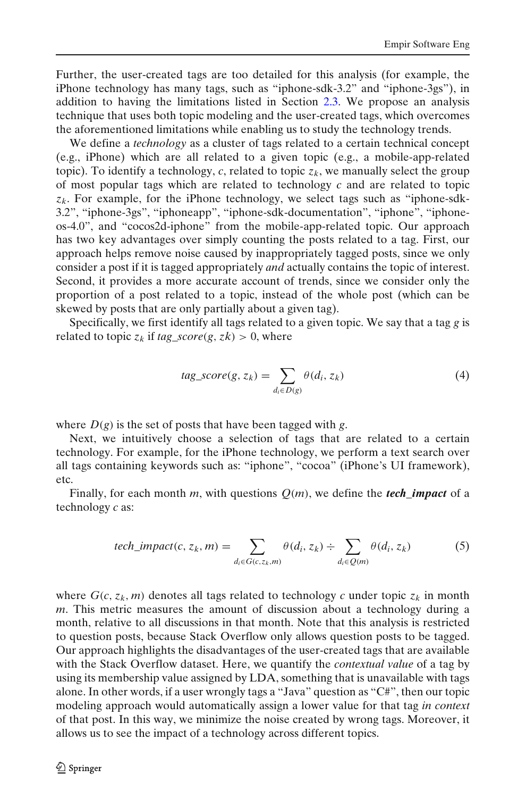<span id="page-9-0"></span>Further, the user-created tags are too detailed for this analysis (for example, the iPhone technology has many tags, such as "iphone-sdk-3.2" and "iphone-3gs"), in addition to having the limitations listed in Section [2.3.](#page-4-0) We propose an analysis technique that uses both topic modeling and the user-created tags, which overcomes the aforementioned limitations while enabling us to study the technology trends.

We define a *technology* as a cluster of tags related to a certain technical concept (e.g., iPhone) which are all related to a given topic (e.g., a mobile-app-related topic). To identify a technology,  $c$ , related to topic  $z<sub>k</sub>$ , we manually select the group of most popular tags which are related to technology *c* and are related to topic  $z_k$ . For example, for the iPhone technology, we select tags such as "iphone-sdk-3.2", "iphone-3gs", "iphoneapp", "iphone-sdk-documentation", "iphone", "iphoneos-4.0", and "cocos2d-iphone" from the mobile-app-related topic. Our approach has two key advantages over simply counting the posts related to a tag. First, our approach helps remove noise caused by inappropriately tagged posts, since we only consider a post if it is tagged appropriately *and* actually contains the topic of interest. Second, it provides a more accurate account of trends, since we consider only the proportion of a post related to a topic, instead of the whole post (which can be skewed by posts that are only partially about a given tag).

Specifically, we first identify all tags related to a given topic. We say that a tag *g* is related to topic  $z_k$  if  $tag\_score(g, zk) > 0$ , where

$$
tag\_score(g, z_k) = \sum_{d_i \in D(g)} \theta(d_i, z_k)
$$
\n(4)

where  $D(g)$  is the set of posts that have been tagged with g.

Next, we intuitively choose a selection of tags that are related to a certain technology. For example, for the iPhone technology, we perform a text search over all tags containing keywords such as: "iphone", "cocoa" (iPhone's UI framework), etc.

Finally, for each month *m*, with questions *Q*(*m*), we define the *tech\_impact* of a technology *c* as:

$$
tech\_impact(c, z_k, m) = \sum_{d_i \in G(c, z_k, m)} \theta(d_i, z_k) \div \sum_{d_i \in Q(m)} \theta(d_i, z_k)
$$
 (5)

where  $G(c, z_k, m)$  denotes all tags related to technology *c* under topic  $z_k$  in month *m*. This metric measures the amount of discussion about a technology during a month, relative to all discussions in that month. Note that this analysis is restricted to question posts, because Stack Overflow only allows question posts to be tagged. Our approach highlights the disadvantages of the user-created tags that are available with the Stack Overflow dataset. Here, we quantify the *contextual value* of a tag by using its membership value assigned by LDA, something that is unavailable with tags alone. In other words, if a user wrongly tags a "Java" question as "C#", then our topic modeling approach would automatically assign a lower value for that tag *in context* of that post. In this way, we minimize the noise created by wrong tags. Moreover, it allows us to see the impact of a technology across different topics.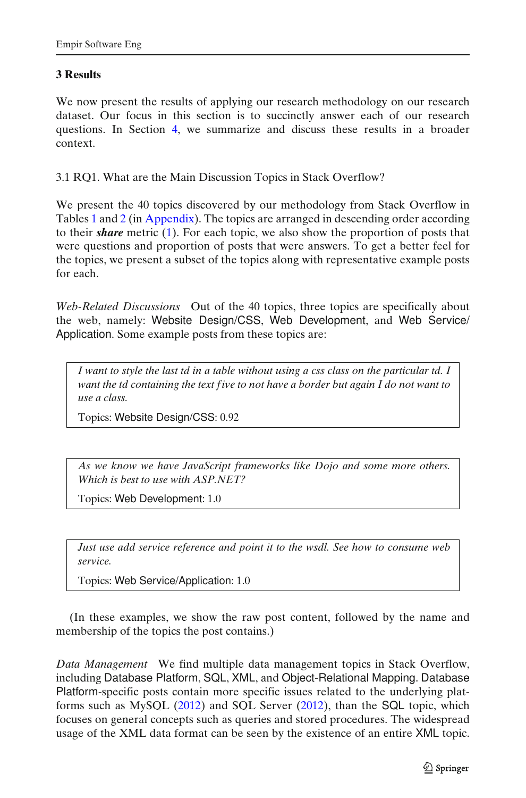# <span id="page-10-0"></span>**3 Results**

We now present the results of applying our research methodology on our research dataset. Our focus in this section is to succinctly answer each of our research questions. In Section [4,](#page-22-0) we summarize and discuss these results in a broader context.

3.1 RQ1. What are the Main Discussion Topics in Stack Overflow?

We present the 40 topics discovered by our methodology from Stack Overflow in Tables [1](#page-30-0) and [2](#page-31-0) (in [Appendix\)](#page-30-0). The topics are arranged in descending order according to their *share* metric [\(1\)](#page-8-0). For each topic, we also show the proportion of posts that were questions and proportion of posts that were answers. To get a better feel for the topics, we present a subset of the topics along with representative example posts for each.

*Web-Related Discussions* Out of the 40 topics, three topics are specifically about the web, namely: Website Design/CSS, Web Development, and Web Service/ Application. Some example posts from these topics are:

*I want to style the last td in a table without using a css class on the particular td. I want the td containing the text f ive to not have a border but again I do not want to use a class.*

Topics: Website Design/CSS: 0.92

*As we know we have JavaScript frameworks like Dojo and some more others. Which is best to use with ASP.NET?*

Topics: Web Development: 1.0

*Just use add service reference and point it to the wsdl. See how to consume web service.*

Topics: Web Service/Application: 1.0

(In these examples, we show the raw post content, followed by the name and membership of the topics the post contains.)

*Data Management* We find multiple data management topics in Stack Overflow, including Database Platform, SQL, XML, and Object-Relational Mapping. Database Platform-specific posts contain more specific issues related to the underlying platforms such as MySQL [\(2012\)](#page-34-0) and SQL Server [\(2012\)](#page-33-0), than the SQL topic, which focuses on general concepts such as queries and stored procedures. The widespread usage of the XML data format can be seen by the existence of an entire XML topic.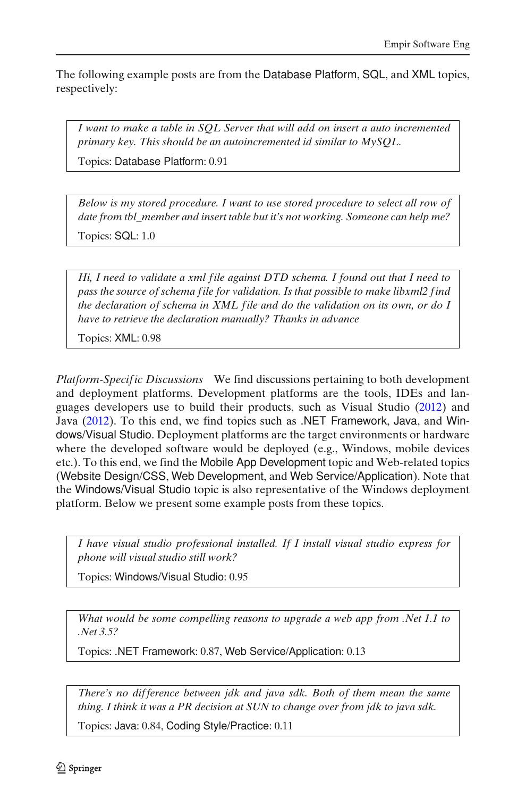The following example posts are from the Database Platform, SQL, and XML topics, respectively:

*I want to make a table in SQL Server that will add on insert a auto incremented primary key. This should be an autoincremented id similar to MySQL.*

Topics: Database Platform: 0.91

*Below is my stored procedure. I want to use stored procedure to select all row of date from tbl\_member and insert table but it's not working. Someone can help me?*

Topics: SQL: 1.0

*Hi, I need to validate a xml f ile against DTD schema. I found out that I need to pass the source of schema f ile for validation. Is that possible to make libxml2 f ind the declaration of schema in XML f ile and do the validation on its own, or do I have to retrieve the declaration manually? Thanks in advance*

Topics: XML: 0.98

*Platform-Specif ic Discussions* We find discussions pertaining to both development and deployment platforms. Development platforms are the tools, IDEs and lan-guages developers use to build their products, such as Visual Studio [\(2012](#page-34-0)) and Java [\(2012](#page-34-0)). To this end, we find topics such as .NET Framework, Java, and Windows/Visual Studio. Deployment platforms are the target environments or hardware where the developed software would be deployed (e.g., Windows, mobile devices etc.). To this end, we find the Mobile App Development topic and Web-related topics (Website Design/CSS, Web Development, and Web Service/Application). Note that the Windows/Visual Studio topic is also representative of the Windows deployment platform. Below we present some example posts from these topics.

*I have visual studio professional installed. If I install visual studio express for phone will visual studio still work?*

Topics: Windows/Visual Studio: 0.95

*What would be some compelling reasons to upgrade a web app from .Net 1.1 to .Net 3.5?*

Topics: .NET Framework: 0.87, Web Service/Application: 0.13

*There's no dif ference between jdk and java sdk. Both of them mean the same thing. I think it was a PR decision at SUN to change over from jdk to java sdk.*

Topics: Java: 0.84, Coding Style/Practice: 0.11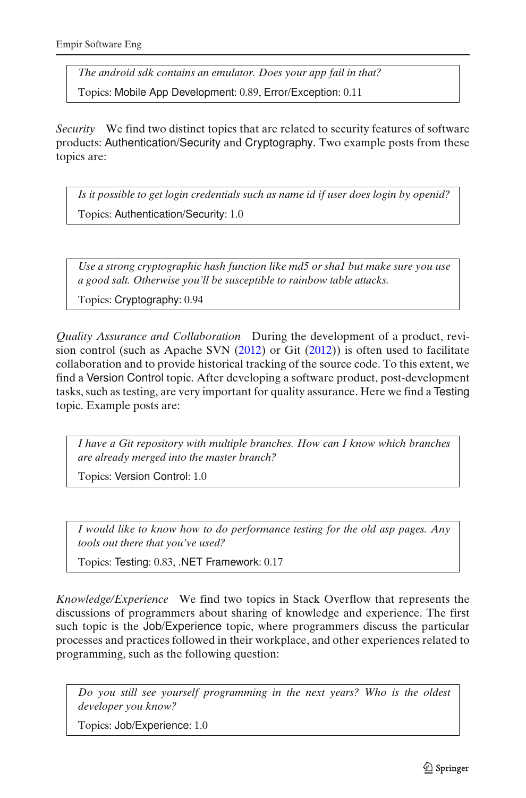*The android sdk contains an emulator. Does your app fail in that?* Topics: Mobile App Development: 0.89, Error/Exception: 0.11

*Security* We find two distinct topics that are related to security features of software products: Authentication/Security and Cryptography. Two example posts from these topics are:

*Is it possible to get login credentials such as name id if user does login by openid?* Topics: Authentication/Security: 1.0

*Use a strong cryptographic hash function like md5 or sha1 but make sure you use a good salt. Otherwise you'll be susceptible to rainbow table attacks.*

Topics: Cryptography: 0.94

*Quality Assurance and Collaboration* During the development of a product, revision control (such as Apache SVN  $(2012)$  or Git  $(2012)$  $(2012)$ ) is often used to facilitate collaboration and to provide historical tracking of the source code. To this extent, we find a Version Control topic. After developing a software product, post-development tasks, such as testing, are very important for quality assurance. Here we find a Testing topic. Example posts are:

*I have a Git repository with multiple branches. How can I know which branches are already merged into the master branch?*

Topics: Version Control: 1.0

*I would like to know how to do performance testing for the old asp pages. Any tools out there that you've used?*

Topics: Testing: 0.83, .NET Framework: 0.17

*Knowledge/Experience* We find two topics in Stack Overflow that represents the discussions of programmers about sharing of knowledge and experience. The first such topic is the Job/Experience topic, where programmers discuss the particular processes and practices followed in their workplace, and other experiences related to programming, such as the following question:

*Do you still see yourself programming in the next years? Who is the oldest developer you know?*

Topics: Job/Experience: 1.0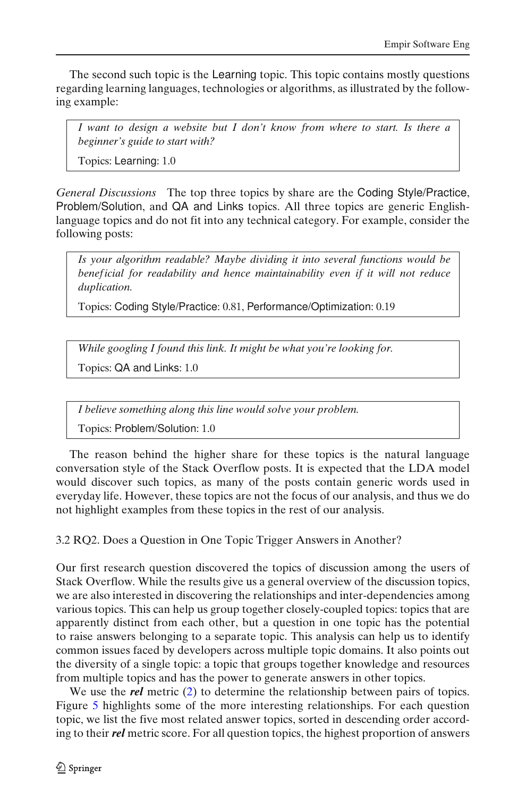The second such topic is the Learning topic. This topic contains mostly questions regarding learning languages, technologies or algorithms, as illustrated by the following example:

*I want to design a website but I don't know from where to start. Is there a beginner's guide to start with?*

Topics: Learning: 1.0

*General Discussions* The top three topics by share are the Coding Style/Practice, Problem/Solution, and QA and Links topics. All three topics are generic Englishlanguage topics and do not fit into any technical category. For example, consider the following posts:

*Is your algorithm readable? Maybe dividing it into several functions would be benef icial for readability and hence maintainability even if it will not reduce duplication.*

Topics: Coding Style/Practice: 0.81, Performance/Optimization: 0.19

*While googling I found this link. It might be what you're looking for.*

Topics: QA and Links: 1.0

*I believe something along this line would solve your problem.*

Topics: Problem/Solution: 1.0

The reason behind the higher share for these topics is the natural language conversation style of the Stack Overflow posts. It is expected that the LDA model would discover such topics, as many of the posts contain generic words used in everyday life. However, these topics are not the focus of our analysis, and thus we do not highlight examples from these topics in the rest of our analysis.

3.2 RQ2. Does a Question in One Topic Trigger Answers in Another?

Our first research question discovered the topics of discussion among the users of Stack Overflow. While the results give us a general overview of the discussion topics, we are also interested in discovering the relationships and inter-dependencies among various topics. This can help us group together closely-coupled topics: topics that are apparently distinct from each other, but a question in one topic has the potential to raise answers belonging to a separate topic. This analysis can help us to identify common issues faced by developers across multiple topic domains. It also points out the diversity of a single topic: a topic that groups together knowledge and resources from multiple topics and has the power to generate answers in other topics.

We use the *rel* metric [\(2\)](#page-8-0) to determine the relationship between pairs of topics. Figure [5](#page-14-0) highlights some of the more interesting relationships. For each question topic, we list the five most related answer topics, sorted in descending order according to their *rel* metric score. For all question topics, the highest proportion of answers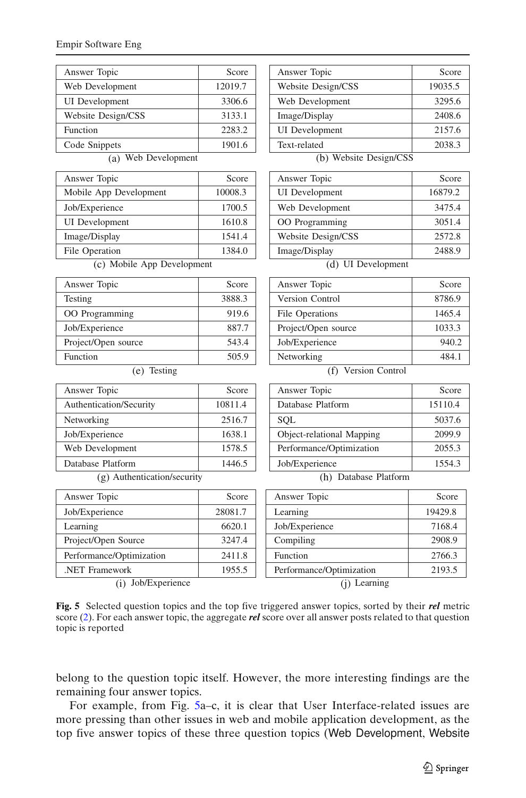<span id="page-14-0"></span>

| Answer Topic                | Score   | Answer Topic                       | Score   |
|-----------------------------|---------|------------------------------------|---------|
| Web Development             | 12019.7 | Website Design/CSS<br>19035.5      |         |
| <b>UI</b> Development       | 3306.6  | Web Development                    |         |
| Website Design/CSS          | 3133.1  | Image/Display                      |         |
| Function                    | 2283.2  | UI Development                     | 2157.6  |
| Code Snippets               | 1901.6  | Text-related                       | 2038.3  |
| (a) Web Development         |         | (b) Website Design/CSS             |         |
| Answer Topic                | Score   | Answer Topic                       | Score   |
| Mobile App Development      | 10008.3 | UI Development                     | 16879.2 |
| Job/Experience              | 1700.5  | Web Development                    | 3475.4  |
| <b>UI</b> Development       | 1610.8  | OO Programming                     | 3051.4  |
| Image/Display               | 1541.4  | Website Design/CSS                 | 2572.8  |
| File Operation              | 1384.0  | Image/Display                      | 2488.9  |
| (c) Mobile App Development  |         | (d) UI Development                 |         |
| Answer Topic                | Score   | Answer Topic                       | Score   |
| Testing                     | 3888.3  | Version Control                    | 8786.9  |
| OO Programming              | 919.6   | File Operations                    | 1465.4  |
| Job/Experience              | 887.7   | Project/Open source                | 1033.3  |
| Project/Open source         | 543.4   | Job/Experience                     | 940.2   |
| Function                    | 505.9   | Networking                         | 484.1   |
| (e) Testing                 |         | (f) Version Control                |         |
| Answer Topic                | Score   | Answer Topic                       | Score   |
| Authentication/Security     | 10811.4 | Database Platform                  | 15110.4 |
| Networking                  | 2516.7  | <b>SOL</b>                         | 5037.6  |
| Job/Experience              | 1638.1  | Object-relational Mapping          | 2099.9  |
| Web Development             | 1578.5  | Performance/Optimization<br>2055.3 |         |
| Database Platform           | 1446.5  | Job/Experience                     | 1554.3  |
| (g) Authentication/security |         | (h) Database Platform              |         |
| Answer Topic                | Score   | Answer Topic                       | Score   |
| Job/Experience              | 28081.7 | Learning<br>19429.8                |         |
| Learning                    | 6620.1  | Job/Experience<br>7168.4           |         |
| Project/Open Source         | 3247.4  | Compiling                          | 2908.9  |
| Performance/Optimization    | 2411.8  | Function                           | 2766.3  |
| .NET Framework              | 1955.5  | Performance/Optimization           | 2193.5  |
| (i) Job/Experience          |         | $(i)$ Learning                     |         |

**Fig. 5** Selected question topics and the top five triggered answer topics, sorted by their *rel* metric score [\(2\)](#page-8-0). For each answer topic, the aggregate *rel* score over all answer posts related to that question topic is reported

belong to the question topic itself. However, the more interesting findings are the remaining four answer topics.

For example, from Fig. 5a–c, it is clear that User Interface-related issues are more pressing than other issues in web and mobile application development, as the top five answer topics of these three question topics (Web Development, Website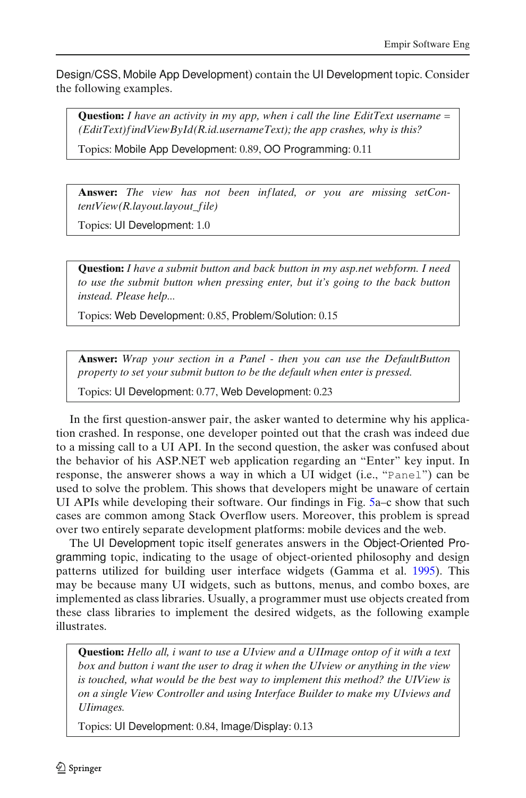Design/CSS, Mobile App Development) contain the UI Development topic. Consider the following examples.

**Question:** *I have an activity in my app, when i call the line EditText username = (EditText)f indViewById(R.id.usernameText); the app crashes, why is this?*

Topics: Mobile App Development: 0.89, OO Programming: 0.11

Answer: The view has not been inflated, or you are missing setCon*tentView(R.layout.layout\_f ile)*

Topics: UI Development: 1.0

**Question:** *I have a submit button and back button in my asp.net webform. I need to use the submit button when pressing enter, but it's going to the back button instead. Please help...*

Topics: Web Development: 0.85, Problem/Solution: 0.15

**Answer:** *Wrap your section in a Panel - then you can use the DefaultButton property to set your submit button to be the default when enter is pressed.*

Topics: UI Development: 0.77, Web Development: 0.23

In the first question-answer pair, the asker wanted to determine why his application crashed. In response, one developer pointed out that the crash was indeed due to a missing call to a UI API. In the second question, the asker was confused about the behavior of his ASP.NET web application regarding an "Enter" key input. In response, the answerer shows a way in which a UI widget (i.e., "Panel") can be used to solve the problem. This shows that developers might be unaware of certain UI APIs while developing their software. Our findings in Fig. [5a](#page-14-0)–c show that such cases are common among Stack Overflow users. Moreover, this problem is spread over two entirely separate development platforms: mobile devices and the web.

The UI Development topic itself generates answers in the Object-Oriented Programming topic, indicating to the usage of object-oriented philosophy and design patterns utilized for building user interface widgets (Gamma et al[.](#page-33-0) [1995\)](#page-33-0). This may be because many UI widgets, such as buttons, menus, and combo boxes, are implemented as class libraries. Usually, a programmer must use objects created from these class libraries to implement the desired widgets, as the following example illustrates.

**Question:** *Hello all, i want to use a UIview and a UIImage ontop of it with a text box and button i want the user to drag it when the UIview or anything in the view is touched, what would be the best way to implement this method? the UIView is on a single View Controller and using Interface Builder to make my UIviews and UIimages.*

Topics: UI Development: 0.84, Image/Display: 0.13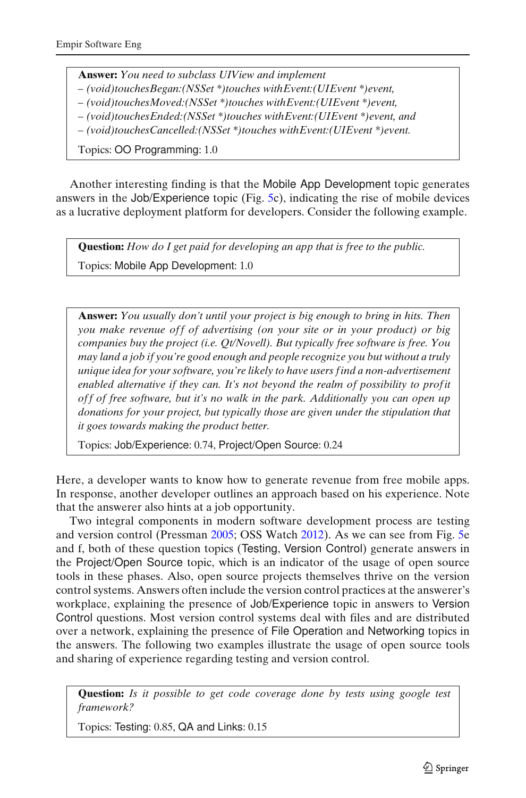**Answer:** *You need to subclass UIView and implement*

*– (void)touchesBegan:(NSSet \*)touches withEvent:(UIEvent \*)event,*

*– (void)touchesMoved:(NSSet \*)touches withEvent:(UIEvent \*)event,*

*– (void)touchesEnded:(NSSet \*)touches withEvent:(UIEvent \*)event, and*

*– (void)touchesCancelled:(NSSet \*)touches withEvent:(UIEvent \*)event.*

Topics: OO Programming: 1.0

Another interesting finding is that the Mobile App Development topic generates answers in the Job/Experience topic (Fig. [5c](#page-14-0)), indicating the rise of mobile devices as a lucrative deployment platform for developers. Consider the following example.

**Question:** *How do I get paid for developing an app that is free to the public.*

Topics: Mobile App Development: 1.0

**Answer:** *You usually don't until your project is big enough to bring in hits. Then you make revenue of f of advertising (on your site or in your product) or big companies buy the project (i.e. Qt/Novell). But typically free software is free. You may land a job if you're good enough and people recognize you but without a truly unique idea for your software, you're likely to have users f ind a non-advertisement enabled alternative if they can. It's not beyond the realm of possibility to profit* off of free software, but it's no walk in the park. Additionally you can open up *donations for your project, but typically those are given under the stipulation that it goes towards making the product better.*

Topics: Job/Experience: 0.74, Project/Open Source: 0.24

Here, a developer wants to know how to generate revenue from free mobile apps. In response, another developer outlines an approach based on his experience. Note that the answerer also hints at a job opportunity.

Two integral components in modern software development process are testing and version control (Pressma[n](#page-34-0) [2005](#page-34-0); OSS Watc[h](#page-34-0) [2012\)](#page-34-0). As we can see from Fig. [5e](#page-14-0) and f, both of these question topics (Testing, Version Control) generate answers in the Project/Open Source topic, which is an indicator of the usage of open source tools in these phases. Also, open source projects themselves thrive on the version control systems. Answers often include the version control practices at the answerer's workplace, explaining the presence of Job/Experience topic in answers to Version Control questions. Most version control systems deal with files and are distributed over a network, explaining the presence of File Operation and Networking topics in the answers. The following two examples illustrate the usage of open source tools and sharing of experience regarding testing and version control.

**Question:** *Is it possible to get code coverage done by tests using google test framework?*

Topics: Testing: 0.85, QA and Links: 0.15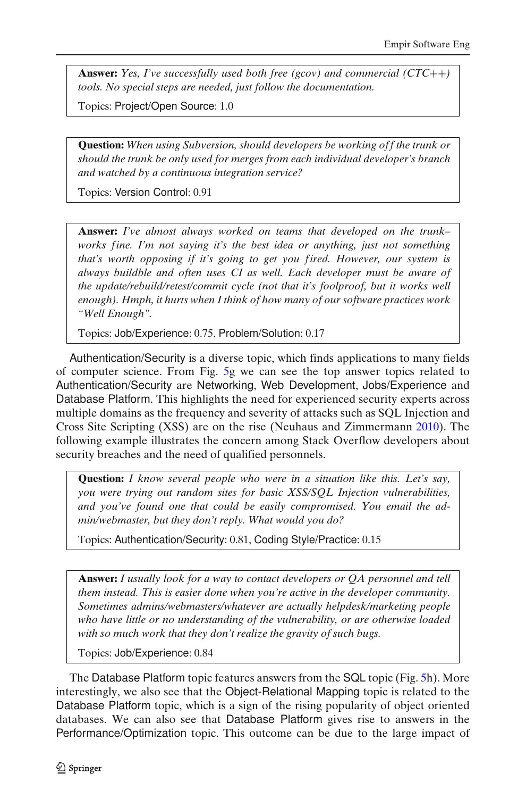**Answer:** *Yes, I've successfully used both free (gcov) and commercial (CTC*++*) tools. No special steps are needed, just follow the documentation.*

Topics: Project/Open Source: 1.0

**Question:** *When using Subversion, should developers be working of f the trunk or should the trunk be only used for merges from each individual developer's branch and watched by a continuous integration service?*

Topics: Version Control: 0.91

**Answer:** *I've almost always worked on teams that developed on the trunk– works f ine. I'm not saying it's the best idea or anything, just not something* that's worth opposing if it's going to get you fired. However, our system is *always buildble and often uses CI as well. Each developer must be aware of the update/rebuild/retest/commit cycle (not that it's foolproof, but it works well enough). Hmph, it hurts when I think of how many of our software practices work "Well Enough".*

Topics: Job/Experience: 0.75, Problem/Solution: 0.17

Authentication/Security is a diverse topic, which finds applications to many fields of computer science. From Fig. [5g](#page-14-0) we can see the top answer topics related to Authentication/Security are Networking, Web Development, Jobs/Experience and Database Platform. This highlights the need for experienced security experts across multiple domains as the frequency and severity of attacks such as SQL Injection and Cross Site Scripting (XSS) are on the rise (Neuhaus and Zimmerman[n](#page-34-0) [2010\)](#page-34-0). The following example illustrates the concern among Stack Overflow developers about security breaches and the need of qualified personnels.

**Question:** *I know several people who were in a situation like this. Let's say, you were trying out random sites for basic XSS/SQL Injection vulnerabilities, and you've found one that could be easily compromised. You email the admin/webmaster, but they don't reply. What would you do?*

Topics: Authentication/Security: 0.81, Coding Style/Practice: 0.15

**Answer:** *I usually look for a way to contact developers or QA personnel and tell them instead. This is easier done when you're active in the developer community. Sometimes admins/webmasters/whatever are actually helpdesk/marketing people who have little or no understanding of the vulnerability, or are otherwise loaded with so much work that they don't realize the gravity of such bugs.*

Topics: Job/Experience: 0.84

The Database Platform topic features answers from the SQL topic (Fig. [5h](#page-14-0)). More interestingly, we also see that the Object-Relational Mapping topic is related to the Database Platform topic, which is a sign of the rising popularity of object oriented databases. We can also see that Database Platform gives rise to answers in the Performance/Optimization topic. This outcome can be due to the large impact of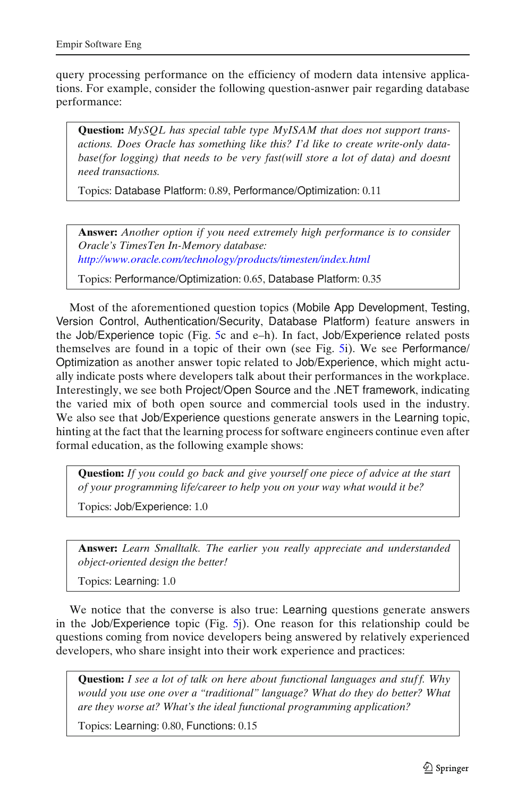query processing performance on the efficiency of modern data intensive applications. For example, consider the following question-asnwer pair regarding database performance:

**Question:** *MySQL has special table type MyISAM that does not support transactions. Does Oracle has something like this? I'd like to create write-only database(for logging) that needs to be very fast(will store a lot of data) and doesnt need transactions.*

Topics: Database Platform: 0.89, Performance/Optimization: 0.11

**Answer:** *Another option if you need extremely high performance is to consider Oracle's TimesTen In-Memory database: <http://www.oracle.com/technology/products/timesten/index.html>*

Topics: Performance/Optimization: 0.65, Database Platform: 0.35

Most of the aforementioned question topics (Mobile App Development, Testing, Version Control, Authentication/Security, Database Platform) feature answers in the Job/Experience topic (Fig. [5c](#page-14-0) and e–h). In fact, Job/Experience related posts themselves are found in a topic of their own (see Fig. [5i](#page-14-0)). We see Performance/ Optimization as another answer topic related to Job/Experience, which might actually indicate posts where developers talk about their performances in the workplace. Interestingly, we see both Project/Open Source and the .NET framework, indicating the varied mix of both open source and commercial tools used in the industry. We also see that Job/Experience questions generate answers in the Learning topic, hinting at the fact that the learning process for software engineers continue even after formal education, as the following example shows:

**Question:** *If you could go back and give yourself one piece of advice at the start of your programming life/career to help you on your way what would it be?*

Topics: Job/Experience: 1.0

**Answer:** *Learn Smalltalk. The earlier you really appreciate and understanded object-oriented design the better!*

Topics: Learning: 1.0

We notice that the converse is also true: Learning questions generate answers in the Job/Experience topic (Fig. [5j](#page-14-0)). One reason for this relationship could be questions coming from novice developers being answered by relatively experienced developers, who share insight into their work experience and practices:

**Question:** *I see a lot of talk on here about functional languages and stuff. Why would you use one over a "traditional" language? What do they do better? What are they worse at? What's the ideal functional programming application?*

Topics: Learning: 0.80, Functions: 0.15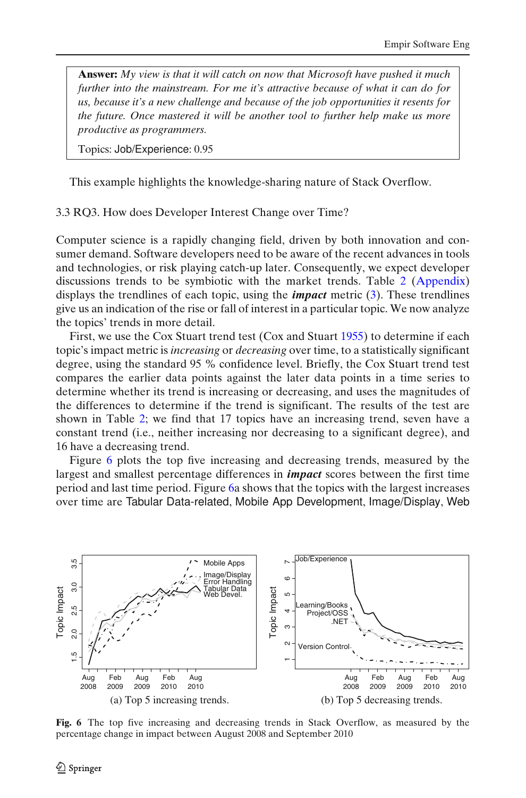<span id="page-19-0"></span>**Answer:** *My view is that it will catch on now that Microsoft have pushed it much further into the mainstream. For me it's attractive because of what it can do for us, because it's a new challenge and because of the job opportunities it resents for the future. Once mastered it will be another tool to further help make us more productive as programmers.*

Topics: Job/Experience: 0.95

This example highlights the knowledge-sharing nature of Stack Overflow.

3.3 RQ3. How does Developer Interest Change over Time?

Computer science is a rapidly changing field, driven by both innovation and consumer demand. Software developers need to be aware of the recent advances in tools and technologies, or risk playing catch-up later. Consequently, we expect developer discussions trends to be symbiotic with the market trends. Table [2](#page-31-0) [\(Appendix\)](#page-30-0) displays the trendlines of each topic, using the *impact* metric [\(3\)](#page-8-0). These trendlines give us an indication of the rise or fall of interest in a particular topic. We now analyze the topics' trends in more detail.

First, we use the Cox Stuart trend test (Cox and Stuar[t](#page-33-0) [1955\)](#page-33-0) to determine if each topic's impact metric is *increasing* or *decreasing* over time, to a statistically significant degree, using the standard 95 % confidence level. Briefly, the Cox Stuart trend test compares the earlier data points against the later data points in a time series to determine whether its trend is increasing or decreasing, and uses the magnitudes of the differences to determine if the trend is significant. The results of the test are shown in Table [2;](#page-31-0) we find that 17 topics have an increasing trend, seven have a constant trend (i.e., neither increasing nor decreasing to a significant degree), and 16 have a decreasing trend.

Figure 6 plots the top five increasing and decreasing trends, measured by the largest and smallest percentage differences in *impact* scores between the first time period and last time period. Figure 6a shows that the topics with the largest increases over time are Tabular Data-related, Mobile App Development, Image/Display, Web



**Fig. 6** The top five increasing and decreasing trends in Stack Overflow, as measured by the percentage change in impact between August 2008 and September 2010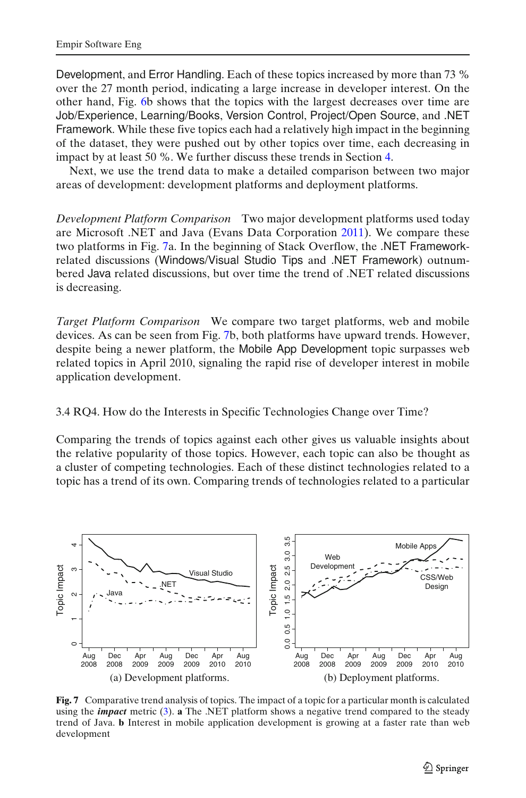<span id="page-20-0"></span>Development, and Error Handling. Each of these topics increased by more than 73 % over the 27 month period, indicating a large increase in developer interest. On the other hand, Fig. [6b](#page-19-0) shows that the topics with the largest decreases over time are Job/Experience, Learning/Books, Version Control, Project/Open Source, and .NET Framework. While these five topics each had a relatively high impact in the beginning of the dataset, they were pushed out by other topics over time, each decreasing in impact by at least 50 %. We further discuss these trends in Section [4.](#page-22-0)

Next, we use the trend data to make a detailed comparison between two major areas of development: development platforms and deployment platforms.

*Development Platform Comparison* Two major development platforms used today are Microsoft .NET and Java (Evans Data Corporatio[n](#page-33-0) [2011](#page-33-0)). We compare these two platforms in Fig. 7a. In the beginning of Stack Overflow, the .NET Frameworkrelated discussions (Windows/Visual Studio Tips and .NET Framework) outnumbered Java related discussions, but over time the trend of .NET related discussions is decreasing.

*Target Platform Comparison* We compare two target platforms, web and mobile devices. As can be seen from Fig. 7b, both platforms have upward trends. However, despite being a newer platform, the Mobile App Development topic surpasses web related topics in April 2010, signaling the rapid rise of developer interest in mobile application development.

3.4 RQ4. How do the Interests in Specific Technologies Change over Time?

Comparing the trends of topics against each other gives us valuable insights about the relative popularity of those topics. However, each topic can also be thought as a cluster of competing technologies. Each of these distinct technologies related to a topic has a trend of its own. Comparing trends of technologies related to a particular



**Fig. 7** Comparative trend analysis of topics. The impact of a topic for a particular month is calculated using the *impact* metric [\(3\)](#page-8-0). **a** The .NET platform shows a negative trend compared to the steady trend of Java. **b** Interest in mobile application development is growing at a faster rate than web development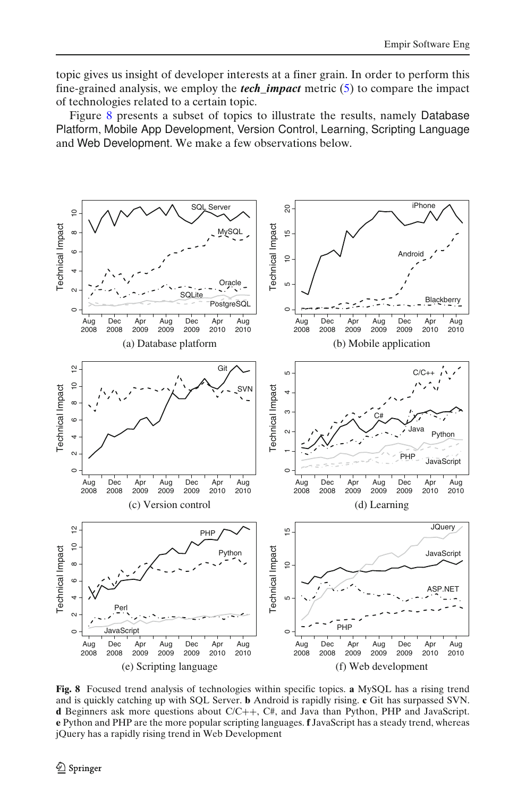<span id="page-21-0"></span>topic gives us insight of developer interests at a finer grain. In order to perform this fine-grained analysis, we employ the *tech\_impact* metric [\(5\)](#page-9-0) to compare the impact of technologies related to a certain topic.

Figure 8 presents a subset of topics to illustrate the results, namely Database Platform, Mobile App Development, Version Control, Learning, Scripting Language and Web Development. We make a few observations below.



**Fig. 8** Focused trend analysis of technologies within specific topics. **a** MySQL has a rising trend and is quickly catching up with SQL Server. **b** Android is rapidly rising. **c** Git has surpassed SVN. **d** Beginners ask more questions about C/C++, C#, and Java than Python, PHP and JavaScript. **e** Python and PHP are the more popular scripting languages. **f** JavaScript has a steady trend, whereas jQuery has a rapidly rising trend in Web Development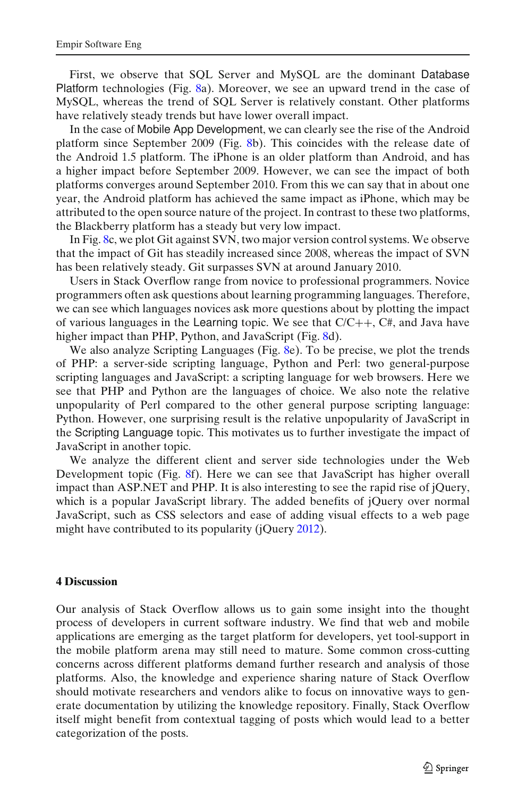<span id="page-22-0"></span>First, we observe that SQL Server and MySQL are the dominant Database Platform technologies (Fig. [8a](#page-21-0)). Moreover, we see an upward trend in the case of MySQL, whereas the trend of SQL Server is relatively constant. Other platforms have relatively steady trends but have lower overall impact.

In the case of Mobile App Development, we can clearly see the rise of the Android platform since September 2009 (Fig. [8b](#page-21-0)). This coincides with the release date of the Android 1.5 platform. The iPhone is an older platform than Android, and has a higher impact before September 2009. However, we can see the impact of both platforms converges around September 2010. From this we can say that in about one year, the Android platform has achieved the same impact as iPhone, which may be attributed to the open source nature of the project. In contrast to these two platforms, the Blackberry platform has a steady but very low impact.

In Fig. [8c](#page-21-0), we plot Git against SVN, two major version control systems. We observe that the impact of Git has steadily increased since 2008, whereas the impact of SVN has been relatively steady. Git surpasses SVN at around January 2010.

Users in Stack Overflow range from novice to professional programmers. Novice programmers often ask questions about learning programming languages. Therefore, we can see which languages novices ask more questions about by plotting the impact of various languages in the Learning topic. We see that  $C/C_{++}$ ,  $C#$ , and Java have higher impact than PHP, Python, and JavaScript (Fig. [8d](#page-21-0)).

We also analyze Scripting Languages (Fig. [8e](#page-21-0)). To be precise, we plot the trends of PHP: a server-side scripting language, Python and Perl: two general-purpose scripting languages and JavaScript: a scripting language for web browsers. Here we see that PHP and Python are the languages of choice. We also note the relative unpopularity of Perl compared to the other general purpose scripting language: Python. However, one surprising result is the relative unpopularity of JavaScript in the Scripting Language topic. This motivates us to further investigate the impact of JavaScript in another topic.

We analyze the different client and server side technologies under the Web Development topic (Fig. [8f](#page-21-0)). Here we can see that JavaScript has higher overall impact than ASP.NET and PHP. It is also interesting to see the rapid rise of jQuery, which is a popular JavaScript library. The added benefits of jQuery over normal JavaScript, such as CSS selectors and ease of adding visual effects to a web page might have contributed to its popularit[y](#page-33-0) (jQuery [2012](#page-33-0)).

#### **4 Discussion**

Our analysis of Stack Overflow allows us to gain some insight into the thought process of developers in current software industry. We find that web and mobile applications are emerging as the target platform for developers, yet tool-support in the mobile platform arena may still need to mature. Some common cross-cutting concerns across different platforms demand further research and analysis of those platforms. Also, the knowledge and experience sharing nature of Stack Overflow should motivate researchers and vendors alike to focus on innovative ways to generate documentation by utilizing the knowledge repository. Finally, Stack Overflow itself might benefit from contextual tagging of posts which would lead to a better categorization of the posts.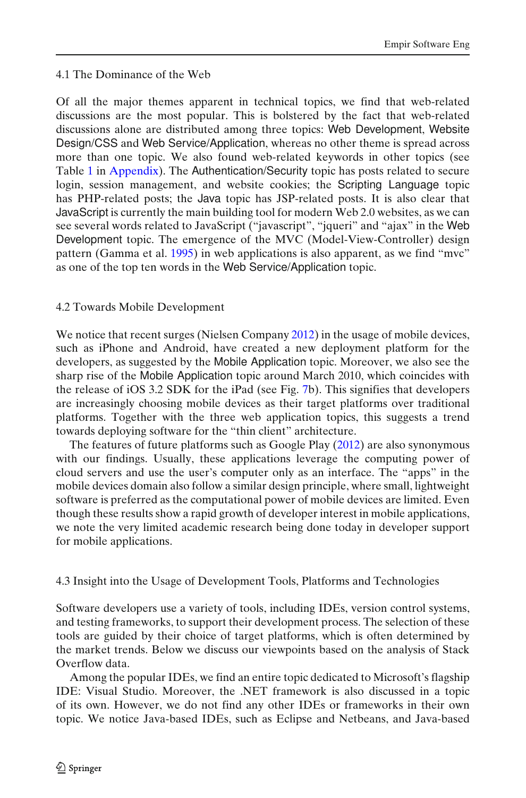### 4.1 The Dominance of the Web

Of all the major themes apparent in technical topics, we find that web-related discussions are the most popular. This is bolstered by the fact that web-related discussions alone are distributed among three topics: Web Development, Website Design/CSS and Web Service/Application, whereas no other theme is spread across more than one topic. We also found web-related keywords in other topics (see Table [1](#page-30-0) in [Appendix\)](#page-30-0). The Authentication/Security topic has posts related to secure login, session management, and website cookies; the Scripting Language topic has PHP-related posts; the Java topic has JSP-related posts. It is also clear that JavaScript is currently the main building tool for modern Web 2.0 websites, as we can see several words related to JavaScript ("javascript", "jqueri" and "ajax" in the Web Development topic. The emergence of the MVC (Model-View-Controller) design pattern (Gamma et al[.](#page-33-0) [1995\)](#page-33-0) in web applications is also apparent, as we find "mvc" as one of the top ten words in the Web Service/Application topic.

# 4.2 Towards Mobile Development

We notice that recent surges (Nielsen Compan[y](#page-34-0) [2012\)](#page-34-0) in the usage of mobile devices, such as iPhone and Android, have created a new deployment platform for the developers, as suggested by the Mobile Application topic. Moreover, we also see the sharp rise of the Mobile Application topic around March 2010, which coincides with the release of iOS 3.2 SDK for the iPad (see Fig. [7b](#page-20-0)). This signifies that developers are increasingly choosing mobile devices as their target platforms over traditional platforms. Together with the three web application topics, this suggests a trend towards deploying software for the "thin client" architecture.

The features of future platforms such as Google Play [\(2012\)](#page-33-0) are also synonymous with our findings. Usually, these applications leverage the computing power of cloud servers and use the user's computer only as an interface. The "apps" in the mobile devices domain also follow a similar design principle, where small, lightweight software is preferred as the computational power of mobile devices are limited. Even though these results show a rapid growth of developer interest in mobile applications, we note the very limited academic research being done today in developer support for mobile applications.

4.3 Insight into the Usage of Development Tools, Platforms and Technologies

Software developers use a variety of tools, including IDEs, version control systems, and testing frameworks, to support their development process. The selection of these tools are guided by their choice of target platforms, which is often determined by the market trends. Below we discuss our viewpoints based on the analysis of Stack Overflow data.

Among the popular IDEs, we find an entire topic dedicated to Microsoft's flagship IDE: Visual Studio. Moreover, the .NET framework is also discussed in a topic of its own. However, we do not find any other IDEs or frameworks in their own topic. We notice Java-based IDEs, such as Eclipse and Netbeans, and Java-based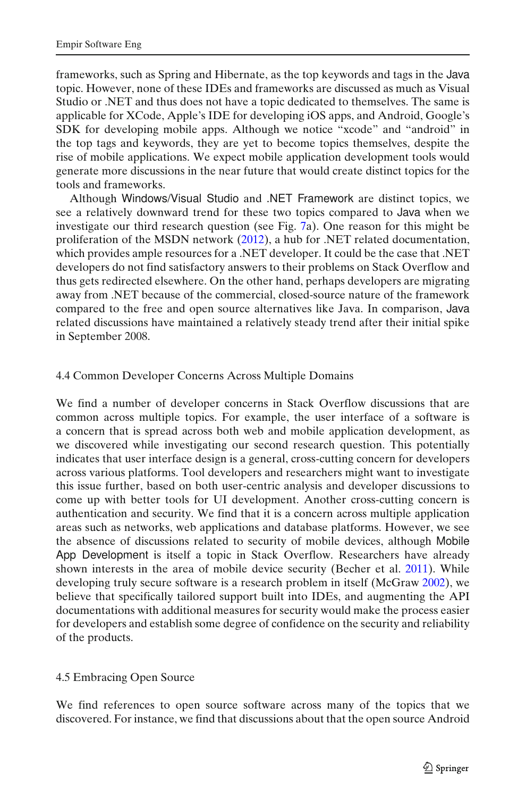frameworks, such as Spring and Hibernate, as the top keywords and tags in the Java topic. However, none of these IDEs and frameworks are discussed as much as Visual Studio or .NET and thus does not have a topic dedicated to themselves. The same is applicable for XCode, Apple's IDE for developing iOS apps, and Android, Google's SDK for developing mobile apps. Although we notice "xcode" and "android" in the top tags and keywords, they are yet to become topics themselves, despite the rise of mobile applications. We expect mobile application development tools would generate more discussions in the near future that would create distinct topics for the tools and frameworks.

Although Windows/Visual Studio and .NET Framework are distinct topics, we see a relatively downward trend for these two topics compared to Java when we investigate our third research question (see Fig. [7a](#page-20-0)). One reason for this might be proliferation of the MSDN network [\(2012\)](#page-33-0), a hub for .NET related documentation, which provides ample resources for a .NET developer. It could be the case that .NET developers do not find satisfactory answers to their problems on Stack Overflow and thus gets redirected elsewhere. On the other hand, perhaps developers are migrating away from .NET because of the commercial, closed-source nature of the framework compared to the free and open source alternatives like Java. In comparison, Java related discussions have maintained a relatively steady trend after their initial spike in September 2008.

# 4.4 Common Developer Concerns Across Multiple Domains

We find a number of developer concerns in Stack Overflow discussions that are common across multiple topics. For example, the user interface of a software is a concern that is spread across both web and mobile application development, as we discovered while investigating our second research question. This potentially indicates that user interface design is a general, cross-cutting concern for developers across various platforms. Tool developers and researchers might want to investigate this issue further, based on both user-centric analysis and developer discussions to come up with better tools for UI development. Another cross-cutting concern is authentication and security. We find that it is a concern across multiple application areas such as networks, web applications and database platforms. However, we see the absence of discussions related to security of mobile devices, although Mobile App Development is itself a topic in Stack Overflow. Researchers have already shown interests in the area of mobile device security (Becher et al[.](#page-33-0) [2011\)](#page-33-0). While developing truly secure software is a research problem in itself (McGra[w](#page-33-0) [2002](#page-33-0)), we believe that specifically tailored support built into IDEs, and augmenting the API documentations with additional measures for security would make the process easier for developers and establish some degree of confidence on the security and reliability of the products.

# 4.5 Embracing Open Source

We find references to open source software across many of the topics that we discovered. For instance, we find that discussions about that the open source Android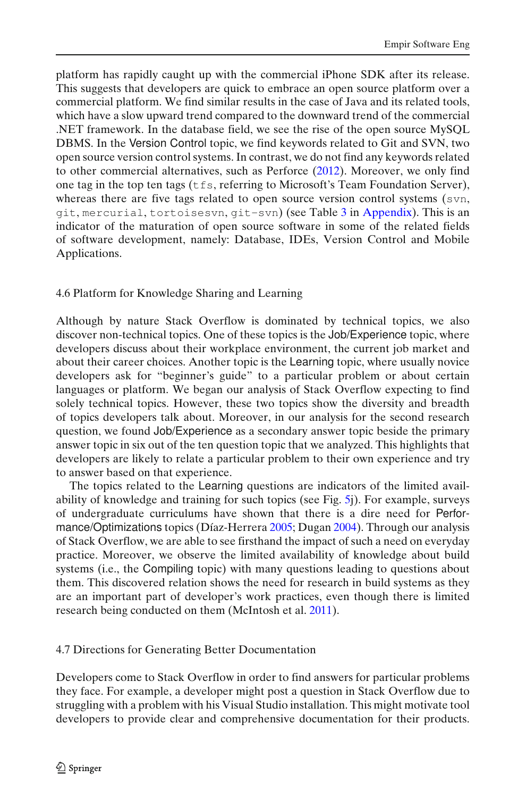platform has rapidly caught up with the commercial iPhone SDK after its release. This suggests that developers are quick to embrace an open source platform over a commercial platform. We find similar results in the case of Java and its related tools, which have a slow upward trend compared to the downward trend of the commercial .NET framework. In the database field, we see the rise of the open source MySQL DBMS. In the Version Control topic, we find keywords related to Git and SVN, two open source version control systems. In contrast, we do not find any keywords related to other commercial alternatives, such as Perforce [\(2012\)](#page-34-0). Moreover, we only find one tag in the top ten tags  $(t \text{fs}, \text{referring to Microsoft's Team Foundation Server})$ , whereas there are five tags related to open source version control systems (svn, git, mercurial, tortoisesvn, git-svn) (see Table [3](#page-32-0) in [Appendix\)](#page-30-0). This is an indicator of the maturation of open source software in some of the related fields of software development, namely: Database, IDEs, Version Control and Mobile Applications.

### 4.6 Platform for Knowledge Sharing and Learning

Although by nature Stack Overflow is dominated by technical topics, we also discover non-technical topics. One of these topics is the Job/Experience topic, where developers discuss about their workplace environment, the current job market and about their career choices. Another topic is the Learning topic, where usually novice developers ask for "beginner's guide" to a particular problem or about certain languages or platform. We began our analysis of Stack Overflow expecting to find solely technical topics. However, these two topics show the diversity and breadth of topics developers talk about. Moreover, in our analysis for the second research question, we found Job/Experience as a secondary answer topic beside the primary answer topic in six out of the ten question topic that we analyzed. This highlights that developers are likely to relate a particular problem to their own experience and try to answer based on that experience.

The topics related to the Learning questions are indicators of the limited availability of knowledge and training for such topics (see Fig. [5j](#page-14-0)). For example, surveys of undergraduate curriculums have shown that there is a dire need for Performance/Optimizations topics (Díaz-Herrera [2005;](#page-33-0) Duga[n](#page-33-0) [2004](#page-33-0)). Through our analysis of Stack Overflow, we are able to see firsthand the impact of such a need on everyday practice. Moreover, we observe the limited availability of knowledge about build systems (i.e., the Compiling topic) with many questions leading to questions about them. This discovered relation shows the need for research in build systems as they are an important part of developer's work practices, even though there is limited research being conducted on them (McIntosh et al[.](#page-33-0) [2011\)](#page-33-0).

### 4.7 Directions for Generating Better Documentation

Developers come to Stack Overflow in order to find answers for particular problems they face. For example, a developer might post a question in Stack Overflow due to struggling with a problem with his Visual Studio installation. This might motivate tool developers to provide clear and comprehensive documentation for their products.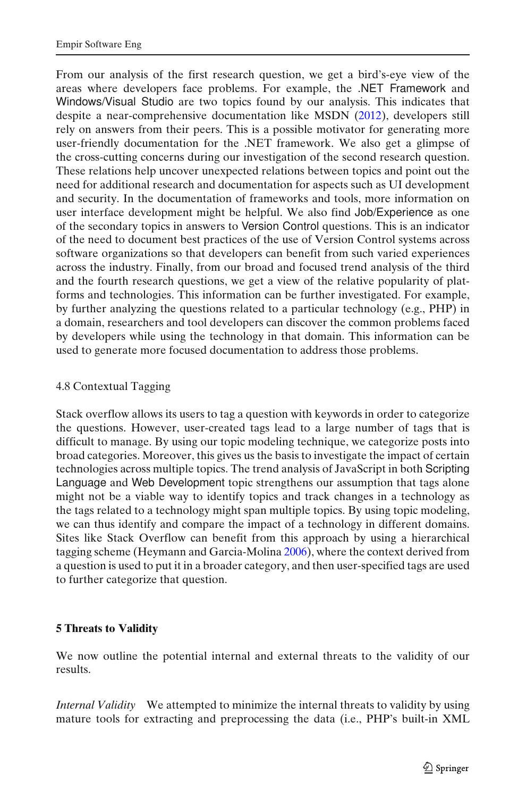<span id="page-26-0"></span>From our analysis of the first research question, we get a bird's-eye view of the areas where developers face problems. For example, the .NET Framework and Windows/Visual Studio are two topics found by our analysis. This indicates that despite a near-comprehensive documentation like MSDN [\(2012\)](#page-33-0), developers still rely on answers from their peers. This is a possible motivator for generating more user-friendly documentation for the .NET framework. We also get a glimpse of the cross-cutting concerns during our investigation of the second research question. These relations help uncover unexpected relations between topics and point out the need for additional research and documentation for aspects such as UI development and security. In the documentation of frameworks and tools, more information on user interface development might be helpful. We also find Job/Experience as one of the secondary topics in answers to Version Control questions. This is an indicator of the need to document best practices of the use of Version Control systems across software organizations so that developers can benefit from such varied experiences across the industry. Finally, from our broad and focused trend analysis of the third and the fourth research questions, we get a view of the relative popularity of platforms and technologies. This information can be further investigated. For example, by further analyzing the questions related to a particular technology (e.g., PHP) in a domain, researchers and tool developers can discover the common problems faced by developers while using the technology in that domain. This information can be used to generate more focused documentation to address those problems.

# 4.8 Contextual Tagging

Stack overflow allows its users to tag a question with keywords in order to categorize the questions. However, user-created tags lead to a large number of tags that is difficult to manage. By using our topic modeling technique, we categorize posts into broad categories. Moreover, this gives us the basis to investigate the impact of certain technologies across multiple topics. The trend analysis of JavaScript in both Scripting Language and Web Development topic strengthens our assumption that tags alone might not be a viable way to identify topics and track changes in a technology as the tags related to a technology might span multiple topics. By using topic modeling, we can thus identify and compare the impact of a technology in different domains. Sites like Stack Overflow can benefit from this approach by using a hierarchical tagging scheme (Heymann and Garcia-Molin[a](#page-33-0) [2006\)](#page-33-0), where the context derived from a question is used to put it in a broader category, and then user-specified tags are used to further categorize that question.

# **5 Threats to Validity**

We now outline the potential internal and external threats to the validity of our results.

*Internal Validity* We attempted to minimize the internal threats to validity by using mature tools for extracting and preprocessing the data (i.e., PHP's built-in XML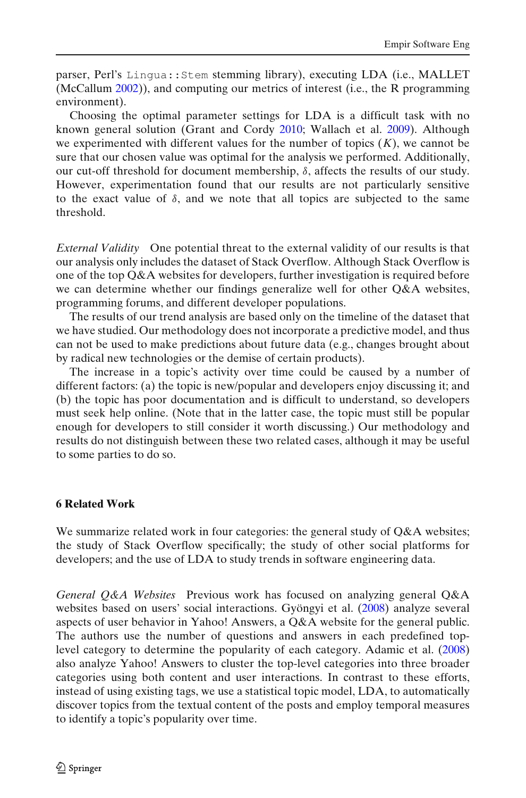<span id="page-27-0"></span>parser, Perl's Lingua:: Stem stemming library), executing LDA (i.e., MALLET (McCallu[m](#page-33-0) [2002\)](#page-33-0)), and computing our metrics of interest (i.e., the R programming environment).

Choosing the optimal parameter settings for LDA is a difficult task with no known general solution (Grant and Cord[y](#page-33-0) [2010;](#page-33-0) Wallach et al[.](#page-34-0) [2009\)](#page-34-0). Although we experimented with different values for the number of topics  $(K)$ , we cannot be sure that our chosen value was optimal for the analysis we performed. Additionally, our cut-off threshold for document membership, δ, affects the results of our study. However, experimentation found that our results are not particularly sensitive to the exact value of  $\delta$ , and we note that all topics are subjected to the same threshold.

*External Validity* One potential threat to the external validity of our results is that our analysis only includes the dataset of Stack Overflow. Although Stack Overflow is one of the top  $O\&\text{A}$  websites for developers, further investigation is required before we can determine whether our findings generalize well for other Q&A websites, programming forums, and different developer populations.

The results of our trend analysis are based only on the timeline of the dataset that we have studied. Our methodology does not incorporate a predictive model, and thus can not be used to make predictions about future data (e.g., changes brought about by radical new technologies or the demise of certain products).

The increase in a topic's activity over time could be caused by a number of different factors: (a) the topic is new/popular and developers enjoy discussing it; and (b) the topic has poor documentation and is difficult to understand, so developers must seek help online. (Note that in the latter case, the topic must still be popular enough for developers to still consider it worth discussing.) Our methodology and results do not distinguish between these two related cases, although it may be useful to some parties to do so.

# **6 Related Work**

We summarize related work in four categories: the general study of Q&A websites; the study of Stack Overflow specifically; the study of other social platforms for developers; and the use of LDA to study trends in software engineering data.

*General Q&A Websites* Previous work has focused on analyzing general Q&A websites based on users' social interactions. Gyöngyi et al[.](#page-33-0) [\(2008\)](#page-33-0) analyze several aspects of user behavior in Yahoo! Answers, a Q&A website for the general public. The authors use the number of questions and answers in each predefined toplevel category to determine the popularity of each category. Adamic et al[.](#page-32-0) [\(2008\)](#page-32-0) also analyze Yahoo! Answers to cluster the top-level categories into three broader categories using both content and user interactions. In contrast to these efforts, instead of using existing tags, we use a statistical topic model, LDA, to automatically discover topics from the textual content of the posts and employ temporal measures to identify a topic's popularity over time.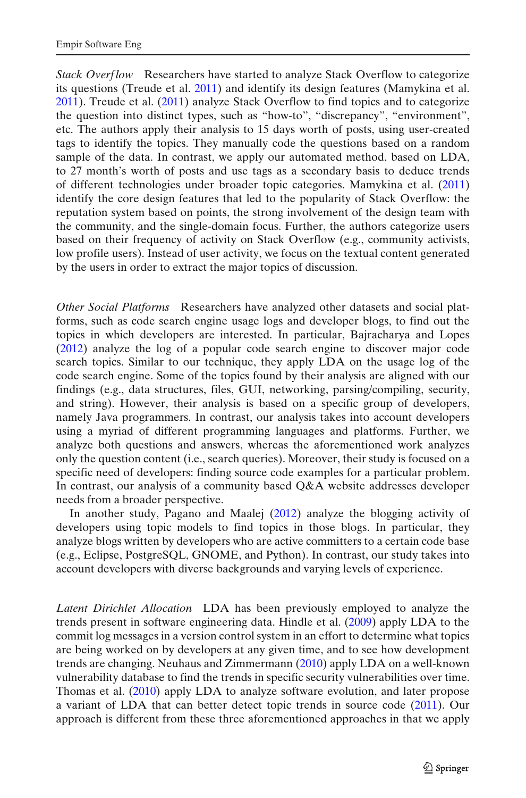*Stack Overf low* Researchers have started to analyze Stack Overflow to categorize its questions (Treude et al[.](#page-34-0) [2011\)](#page-34-0) and identify its design features (Mamykina et al[.](#page-33-0) [2011\)](#page-33-0). Treude et al[.](#page-34-0) [\(2011](#page-34-0)) analyze Stack Overflow to find topics and to categorize the question into distinct types, such as "how-to", "discrepancy", "environment", etc. The authors apply their analysis to 15 days worth of posts, using user-created tags to identify the topics. They manually code the questions based on a random sample of the data. In contrast, we apply our automated method, based on LDA, to 27 month's worth of posts and use tags as a secondary basis to deduce trends of different technologies under broader topic categories. Mamykina et al[.](#page-33-0) [\(2011\)](#page-33-0) identify the core design features that led to the popularity of Stack Overflow: the reputation system based on points, the strong involvement of the design team with the community, and the single-domain focus. Further, the authors categorize users based on their frequency of activity on Stack Overflow (e.g., community activists, low profile users). Instead of user activity, we focus on the textual content generated by the users in order to extract the major topics of discussion.

*Other Social Platforms* Researchers have analyzed other datasets and social platforms, such as code search engine usage logs and developer blogs, to find out the topics in which developers are interested. In particular, Bajracharya and Lope[s](#page-32-0) [\(2012](#page-32-0)) analyze the log of a popular code search engine to discover major code search topics. Similar to our technique, they apply LDA on the usage log of the code search engine. Some of the topics found by their analysis are aligned with our findings (e.g., data structures, files, GUI, networking, parsing/compiling, security, and string). However, their analysis is based on a specific group of developers, namely Java programmers. In contrast, our analysis takes into account developers using a myriad of different programming languages and platforms. Further, we analyze both questions and answers, whereas the aforementioned work analyzes only the question content (i.e., search queries). Moreover, their study is focused on a specific need of developers: finding source code examples for a particular problem. In contrast, our analysis of a community based Q&A website addresses developer needs from a broader perspective.

In another study, Pagano and Maale[j](#page-34-0) [\(2012](#page-34-0)) analyze the blogging activity of developers using topic models to find topics in those blogs. In particular, they analyze blogs written by developers who are active committers to a certain code base (e.g., Eclipse, PostgreSQL, GNOME, and Python). In contrast, our study takes into account developers with diverse backgrounds and varying levels of experience.

*Latent Dirichlet Allocation* LDA has been previously employed to analyze the trends present in software engineering data. Hindle et al[.](#page-33-0) [\(2009\)](#page-33-0) apply LDA to the commit log messages in a version control system in an effort to determine what topics are being worked on by developers at any given time, and to see how development trends are changing. Neuhaus and Zimmerman[n](#page-34-0) [\(2010\)](#page-34-0) apply LDA on a well-known vulnerability database to find the trends in specific security vulnerabilities over time. Thomas et al[.](#page-34-0) [\(2010](#page-34-0)) apply LDA to analyze software evolution, and later propose a variant of LDA that can better detect topic trends in source code [\(2011\)](#page-34-0). Our approach is different from these three aforementioned approaches in that we apply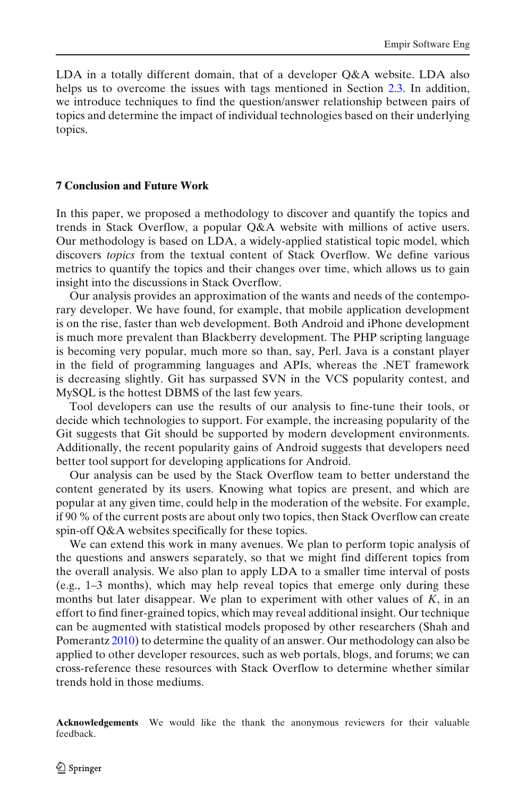<span id="page-29-0"></span>LDA in a totally different domain, that of a developer Q&A website. LDA also helps us to overcome the issues with tags mentioned in Section [2.3.](#page-4-0) In addition, we introduce techniques to find the question/answer relationship between pairs of topics and determine the impact of individual technologies based on their underlying topics.

### **7 Conclusion and Future Work**

In this paper, we proposed a methodology to discover and quantify the topics and trends in Stack Overflow, a popular Q&A website with millions of active users. Our methodology is based on LDA, a widely-applied statistical topic model, which discovers *topics* from the textual content of Stack Overflow. We define various metrics to quantify the topics and their changes over time, which allows us to gain insight into the discussions in Stack Overflow.

Our analysis provides an approximation of the wants and needs of the contemporary developer. We have found, for example, that mobile application development is on the rise, faster than web development. Both Android and iPhone development is much more prevalent than Blackberry development. The PHP scripting language is becoming very popular, much more so than, say, Perl. Java is a constant player in the field of programming languages and APIs, whereas the .NET framework is decreasing slightly. Git has surpassed SVN in the VCS popularity contest, and MySQL is the hottest DBMS of the last few years.

Tool developers can use the results of our analysis to fine-tune their tools, or decide which technologies to support. For example, the increasing popularity of the Git suggests that Git should be supported by modern development environments. Additionally, the recent popularity gains of Android suggests that developers need better tool support for developing applications for Android.

Our analysis can be used by the Stack Overflow team to better understand the content generated by its users. Knowing what topics are present, and which are popular at any given time, could help in the moderation of the website. For example, if 90 % of the current posts are about only two topics, then Stack Overflow can create spin-off Q&A websites specifically for these topics.

We can extend this work in many avenues. We plan to perform topic analysis of the questions and answers separately, so that we might find different topics from the overall analysis. We also plan to apply LDA to a smaller time interval of posts (e.g., 1–3 months), which may help reveal topics that emerge only during these months but later disappear. We plan to experiment with other values of *K*, in an effort to find finer-grained topics, which may reveal additional insight. Our technique can be augmented with statistical models proposed by other researchers (Shah and Pomerant[z](#page-34-0) [2010](#page-34-0)) to determine the quality of an answer. Our methodology can also be applied to other developer resources, such as web portals, blogs, and forums; we can cross-reference these resources with Stack Overflow to determine whether similar trends hold in those mediums.

**Acknowledgements** We would like the thank the anonymous reviewers for their valuable feedback.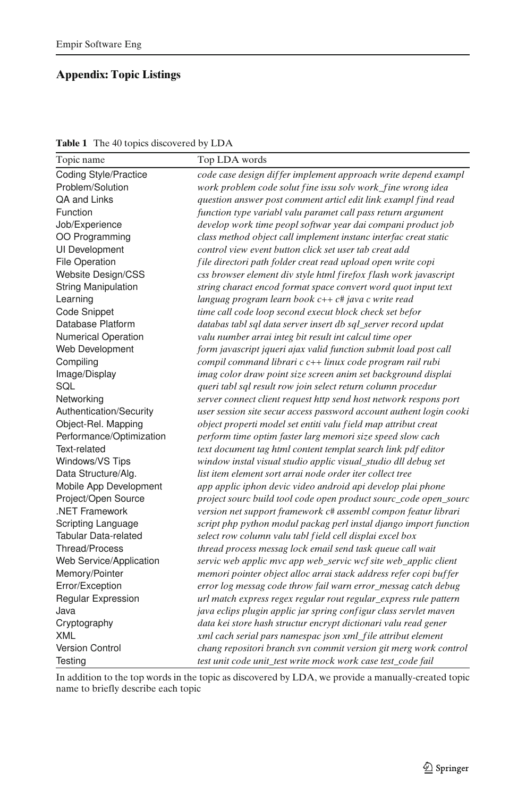# <span id="page-30-0"></span>**Appendix: Topic Listings**

| Topic name                   | Top LDA words                                                       |
|------------------------------|---------------------------------------------------------------------|
| <b>Coding Style/Practice</b> | code case design differ implement approach write depend exampl      |
| Problem/Solution             | work problem code solut fine issu solv work_fine wrong idea         |
| QA and Links                 | question answer post comment articl edit link exampl find read      |
| Function                     | function type variabl valu paramet call pass return argument        |
| Job/Experience               | develop work time peopl softwar year dai compani product job        |
| OO Programming               | class method object call implement instanc interfac creat static    |
| UI Development               | control view event button click set user tab creat add              |
| File Operation               | file directori path folder creat read upload open write copi        |
| Website Design/CSS           | css browser element div style html firefox flash work javascript    |
| <b>String Manipulation</b>   | string charact encod format space convert word quot input text      |
| Learning                     | languag program learn book c++ c# java c write read                 |
| Code Snippet                 | time call code loop second execut block check set befor             |
| Database Platform            | databas tabl sql data server insert db sql_server record updat      |
| <b>Numerical Operation</b>   | valu number arrai integ bit result int calcul time oper             |
| Web Development              | form javascript jqueri ajax valid function submit load post call    |
| Compiling                    | compil command librari c c++ linux code program rail rubi           |
| Image/Display                | imag color draw point size screen anim set background displai       |
| SQL                          | queri tabl sql result row join select return column procedur        |
| Networking                   | server connect client request http send host network respons port   |
| Authentication/Security      | user session site secur access password account authent login cooki |
| Object-Rel. Mapping          | object properti model set entiti valu field map attribut creat      |
| Performance/Optimization     | perform time optim faster larg memori size speed slow cach          |
| Text-related                 | text document tag html content templat search link pdf editor       |
| Windows/VS Tips              | window instal visual studio applic visual_studio dll debug set      |
| Data Structure/Alg.          | list item element sort arrai node order iter collect tree           |
| Mobile App Development       | app applic iphon devic video android api develop plai phone         |
| Project/Open Source          | project sourc build tool code open product sourc_code open_sourc    |
| .NET Framework               | version net support framework c# assembl compon featur librari      |
| Scripting Language           | script php python modul packag perl instal django import function   |
| <b>Tabular Data-related</b>  | select row column valu tabl field cell displai excel box            |
| Thread/Process               | thread process messag lock email send task queue call wait          |
| Web Service/Application      | servic web applic mvc app web_servic wcf site web_applic client     |
| Memory/Pointer               | memori pointer object alloc arrai stack address refer copi buffer   |
| Error/Exception              | error log messag code throw fail warn error_messag catch debug      |
| Regular Expression           | url match express regex regular rout regular_express rule pattern   |
| Java                         | java eclips plugin applic jar spring configur class servlet maven   |
| Cryptography                 | data kei store hash structur encrypt dictionari valu read gener     |
| XML                          | xml cach serial pars namespac json xml_file attribut element        |
| <b>Version Control</b>       | chang repositori branch svn commit version git merg work control    |
| Testing                      | test unit code unit_test write mock work case test_code fail        |

**Table 1** The 40 topics discovered by LDA

In addition to the top words in the topic as discovered by LDA, we provide a manually-created topic name to briefly describe each topic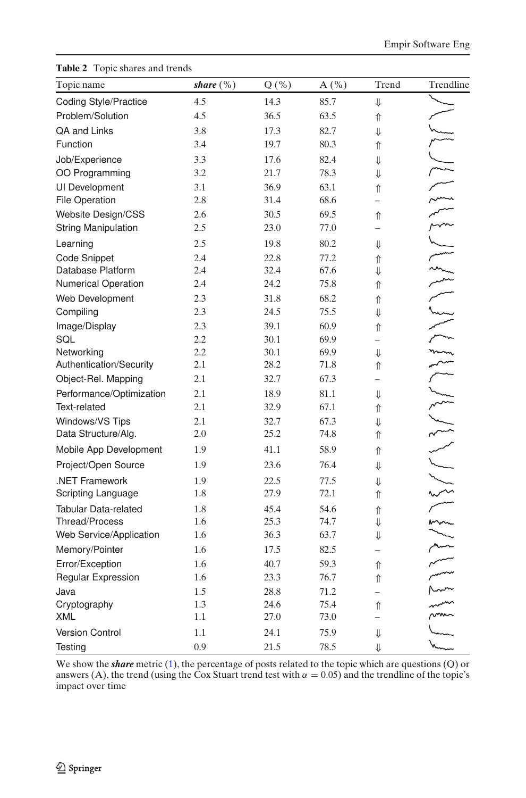| Topic name                  | share $(\%)$ | $Q(\%)$ | $A(^{\%})$ | Trend                    | Trendline                                                                          |
|-----------------------------|--------------|---------|------------|--------------------------|------------------------------------------------------------------------------------|
| Coding Style/Practice       | 4.5          | 14.3    | 85.7       | $\Downarrow$             |                                                                                    |
| Problem/Solution            | 4.5          | 36.5    | 63.5       | ⇑                        |                                                                                    |
| QA and Links                | 3.8          | 17.3    | 82.7       | ⇓                        |                                                                                    |
| Function                    | 3.4          | 19.7    | 80.3       | ⇑                        |                                                                                    |
| Job/Experience              | 3.3          | 17.6    | 82.4       | ⇓                        |                                                                                    |
| OO Programming              | 3.2          | 21.7    | 78.3       | ⇓                        |                                                                                    |
| UI Development              | 3.1          | 36.9    | 63.1       | ⇑                        |                                                                                    |
| <b>File Operation</b>       | 2.8          | 31.4    | 68.6       | $\overline{a}$           |                                                                                    |
| Website Design/CSS          | 2.6          | 30.5    | 69.5       | ⇑                        | $\begin{matrix} 1 \\ 1 \\ 2 \\ 3 \\ 4 \end{matrix}$                                |
| <b>String Manipulation</b>  | 2.5          | 23.0    | 77.0       |                          |                                                                                    |
| Learning                    | 2.5          | 19.8    | 80.2       | ⇓                        |                                                                                    |
| Code Snippet                | 2.4          | 22.8    | 77.2       | ⇑                        |                                                                                    |
| Database Platform           | 2.4          | 32.4    | 67.6       | ⇓                        |                                                                                    |
| <b>Numerical Operation</b>  | 2.4          | 24.2    | 75.8       | ⇑                        | $\left  \begin{array}{c} \uparrow \\ \downarrow \\ \downarrow \end{array} \right $ |
| Web Development             | 2.3          | 31.8    | 68.2       | ⇑                        |                                                                                    |
| Compiling                   | 2.3          | 24.5    | 75.5       | ⇓                        |                                                                                    |
| Image/Display               | 2.3          | 39.1    | 60.9       | ⇑                        |                                                                                    |
| SQL                         | 2.2          | 30.1    | 69.9       | $\overline{\phantom{0}}$ |                                                                                    |
| Networking                  | 2.2          | 30.1    | 69.9       | ⇓                        |                                                                                    |
| Authentication/Security     | 2.1          | 28.2    | 71.8       | ⇑                        |                                                                                    |
| Object-Rel. Mapping         | 2.1          | 32.7    | 67.3       |                          |                                                                                    |
| Performance/Optimization    | 2.1          | 18.9    | 81.1       | ⇓                        |                                                                                    |
| Text-related                | 2.1          | 32.9    | 67.1       | ⇑                        |                                                                                    |
| Windows/VS Tips             | 2.1          | 32.7    | 67.3       | ⇓                        |                                                                                    |
| Data Structure/Alg.         | 2.0          | 25.2    | 74.8       | ⇑                        |                                                                                    |
| Mobile App Development      | 1.9          | 41.1    | 58.9       | ⇑                        | $\{ \} \}$                                                                         |
| Project/Open Source         | 1.9          | 23.6    | 76.4       | ⇓                        |                                                                                    |
| .NET Framework              | 1.9          | 22.5    | 77.5       | ⇓                        |                                                                                    |
| Scripting Language          | 1.8          | 27.9    | 72.1       | ⇑                        |                                                                                    |
| <b>Tabular Data-related</b> | 1.8          | 45.4    | 54.6       | ⇑                        |                                                                                    |
| <b>Thread/Process</b>       | 1.6          | 25.3    | 74.7       | ⇓                        |                                                                                    |
| Web Service/Application     | 1.6          | 36.3    | 63.7       | $\downarrow$             |                                                                                    |
| Memory/Pointer              | 1.6          | 17.5    | 82.5       |                          |                                                                                    |
| Error/Exception             | 1.6          | 40.7    | 59.3       | ⇑                        |                                                                                    |
| Regular Expression          | 1.6          | 23.3    | 76.7       | ⇑                        |                                                                                    |
| Java                        | 1.5          | 28.8    | 71.2       |                          |                                                                                    |
| Cryptography                | 1.3          | 24.6    | 75.4       | ⇑                        |                                                                                    |
| XML                         | 1.1          | 27.0    | 73.0       | -                        |                                                                                    |
| <b>Version Control</b>      | 1.1          | 24.1    | 75.9       | $\Downarrow$             |                                                                                    |
| Testing                     | 0.9          | 21.5    | 78.5       | ⇓                        |                                                                                    |

<span id="page-31-0"></span>**Table 2** Topic shares and trends

We show the *share* metric [\(1\)](#page-8-0), the percentage of posts related to the topic which are questions (Q) or answers (A), the trend (using the Cox Stuart trend test with  $\alpha = 0.05$ ) and the trendline of the topic's impact over time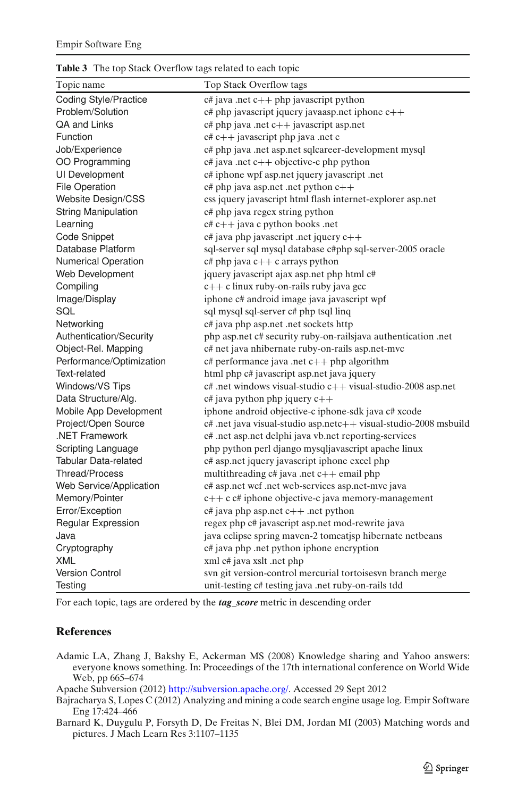<span id="page-32-0"></span>

|  |  |  |  | <b>Table 3</b> The top Stack Overflow tags related to each topic |  |  |
|--|--|--|--|------------------------------------------------------------------|--|--|
|--|--|--|--|------------------------------------------------------------------|--|--|

| Topic name                   | Top Stack Overflow tags                                          |
|------------------------------|------------------------------------------------------------------|
| <b>Coding Style/Practice</b> | $c$ # java .net $c$ ++ php javascript python                     |
| Problem/Solution             | c# php javascript jquery javaasp.net iphone c++                  |
| QA and Links                 | $c#$ php java .net $c++$ javascript asp.net                      |
| Function                     | c# c++ javascript php java .net c                                |
| Job/Experience               | c# php java .net asp.net sqlcareer-development mysql             |
| OO Programming               | $c$ # java .net $c$ ++ objective-c php python                    |
| UI Development               | c# iphone wpf asp.net jquery javascript .net                     |
| File Operation               | $c#$ php java asp.net .net python $c++$                          |
| Website Design/CSS           | css jquery javascript html flash internet-explorer asp.net       |
| <b>String Manipulation</b>   | c# php java regex string python                                  |
| Learning                     | $c# c++$ java c python books .net                                |
| Code Snippet                 | $c$ # java php javascript .net jquery $c$ ++                     |
| Database Platform            | sql-server sql mysql database c#php sql-server-2005 oracle       |
| <b>Numerical Operation</b>   | c# php java c++ c arrays python                                  |
| Web Development              | jquery javascript ajax asp.net php html c#                       |
| Compiling                    | c++ c linux ruby-on-rails ruby java gcc                          |
| Image/Display                | iphone c# android image java javascript wpf                      |
| SQL                          | sql mysql sql-server c# php tsql linq                            |
| Networking                   | c# java php asp.net .net sockets http                            |
| Authentication/Security      | php asp.net c# security ruby-on-railsjava authentication .net    |
| Object-Rel. Mapping          | c# net java nhibernate ruby-on-rails asp.net-mvc                 |
| Performance/Optimization     | $c#$ performance java .net $c++$ php algorithm                   |
| <b>Text-related</b>          | html php c# javascript asp.net java jquery                       |
| Windows/VS Tips              | $c#$ .net windows visual-studio $c++$ visual-studio-2008 asp.net |
| Data Structure/Alg.          | $c$ # java python php jquery $c$ ++                              |
| Mobile App Development       | iphone android objective-c iphone-sdk java c# xcode              |
| Project/Open Source          | c# .net java visual-studio asp.netc++ visual-studio-2008 msbuild |
| .NET Framework               | c# .net asp.net delphi java vb.net reporting-services            |
| Scripting Language           | php python perl django mysqljavascript apache linux              |
| <b>Tabular Data-related</b>  | c# asp.net jquery javascript iphone excel php                    |
| <b>Thread/Process</b>        | multithreading c# java .net c++ email php                        |
| Web Service/Application      | c# asp.net wcf .net web-services asp.net-mvc java                |
| Memory/Pointer               | $c++c$ e# iphone objective-c java memory-management              |
| Error/Exception              | $c$ # java php asp.net $c$ ++ .net python                        |
| Regular Expression           | regex php c# javascript asp.net mod-rewrite java                 |
| Java                         | java eclipse spring maven-2 tomcatisp hibernate netbeans         |
| Cryptography                 | c# java php .net python iphone encryption                        |
| XML                          | xml c# java xslt .net php                                        |
| <b>Version Control</b>       | svn git version-control mercurial tortoisesvn branch merge       |
| Testing                      | unit-testing c# testing java .net ruby-on-rails tdd              |

For each topic, tags are ordered by the *tag\_score* metric in descending order

### **References**

Adamic LA, Zhang J, Bakshy E, Ackerman MS (2008) Knowledge sharing and Yahoo answers: everyone knows something. In: Proceedings of the 17th international conference on World Wide Web, pp 665–674

Apache Subversion (2012) [http://subversion.apache.org/.](http://subversion.apache.org/) Accessed 29 Sept 2012

Bajracharya S, Lopes C (2012) Analyzing and mining a code search engine usage log. Empir Software Eng 17:424–466

Barnard K, Duygulu P, Forsyth D, De Freitas N, Blei DM, Jordan MI (2003) Matching words and pictures. J Mach Learn Res 3:1107–1135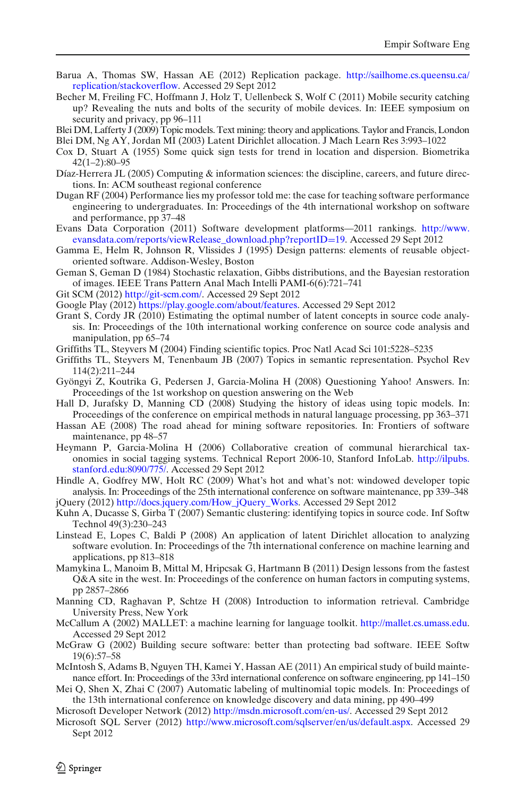- <span id="page-33-0"></span>Barua A, Thomas SW, Hassan AE (2012) Replication package. [http://sailhome.cs.queensu.ca/](http://sailhome.cs.queensu.ca/replication/stackoverflow) [replication/stackoverflow.](http://sailhome.cs.queensu.ca/replication/stackoverflow) Accessed 29 Sept 2012
- Becher M, Freiling FC, Hoffmann J, Holz T, Uellenbeck S, Wolf C (2011) Mobile security catching up? Revealing the nuts and bolts of the security of mobile devices. In: IEEE symposium on security and privacy, pp 96–111
- Blei DM, Lafferty J (2009) Topic models. Text mining: theory and applications. Taylor and Francis, London
- Blei DM, Ng AY, Jordan MI (2003) Latent Dirichlet allocation. J Mach Learn Res 3:993–1022
- Cox D, Stuart A (1955) Some quick sign tests for trend in location and dispersion. Biometrika 42(1–2):80–95
- Díaz-Herrera JL (2005) Computing & information sciences: the discipline, careers, and future directions. In: ACM southeast regional conference
- Dugan RF (2004) Performance lies my professor told me: the case for teaching software performance engineering to undergraduates. In: Proceedings of the 4th international workshop on software and performance, pp 37–48
- Evans Data Corporation (2011) Software development platforms—2011 rankings. [http://www.](http://www.evansdata.com/reports/viewRelease_download.php?reportID=19) [evansdata.com/reports/viewRelease\\_download.php?reportID](http://www.evansdata.com/reports/viewRelease_download.php?reportID=19)=19. Accessed 29 Sept 2012
- Gamma E, Helm R, Johnson R, Vlissides J (1995) Design patterns: elements of reusable objectoriented software. Addison-Wesley, Boston
- Geman S, Geman D (1984) Stochastic relaxation, Gibbs distributions, and the Bayesian restoration of images. IEEE Trans Pattern Anal Mach Intelli PAMI-6(6):721–741
- Git SCM (2012) [http://git-scm.com/.](http://git-scm.com/) Accessed 29 Sept 2012
- Google Play (2012) [https://play.google.com/about/features.](https://play.google.com/about/features) Accessed 29 Sept 2012
- Grant S, Cordy JR (2010) Estimating the optimal number of latent concepts in source code analysis. In: Proceedings of the 10th international working conference on source code analysis and manipulation, pp 65–74
- Griffiths TL, Steyvers M (2004) Finding scientific topics. Proc Natl Acad Sci 101:5228–5235
- Griffiths TL, Steyvers M, Tenenbaum JB (2007) Topics in semantic representation. Psychol Rev 114(2):211–244
- Gyöngyi Z, Koutrika G, Pedersen J, Garcia-Molina H (2008) Questioning Yahoo! Answers. In: Proceedings of the 1st workshop on question answering on the Web
- Hall D, Jurafsky D, Manning CD (2008) Studying the history of ideas using topic models. In: Proceedings of the conference on empirical methods in natural language processing, pp 363–371
- Hassan AE (2008) The road ahead for mining software repositories. In: Frontiers of software maintenance, pp 48–57
- Heymann P, Garcia-Molina H (2006) Collaborative creation of communal hierarchical taxonomies in social tagging systems. Technical Report 2006-10, Stanford InfoLab. [http://ilpubs.](http://ilpubs.stanford.edu:8090/775/) [stanford.edu:8090/775/.](http://ilpubs.stanford.edu:8090/775/) Accessed 29 Sept 2012
- Hindle A, Godfrey MW, Holt RC (2009) What's hot and what's not: windowed developer topic analysis. In: Proceedings of the 25th international conference on software maintenance, pp 339–348 jQuery (2012) [http://docs.jquery.com/How\\_jQuery\\_Works.](http://docs.jquery.com/How_jQuery_Works) Accessed 29 Sept 2012
- Kuhn A, Ducasse S, Girba T (2007) Semantic clustering: identifying topics in source code. Inf Softw Technol 49(3):230–243
- Linstead E, Lopes C, Baldi P (2008) An application of latent Dirichlet allocation to analyzing software evolution. In: Proceedings of the 7th international conference on machine learning and applications, pp 813–818
- Mamykina L, Manoim B, Mittal M, Hripcsak G, Hartmann B (2011) Design lessons from the fastest Q&A site in the west. In: Proceedings of the conference on human factors in computing systems, pp 2857–2866
- Manning CD, Raghavan P, Schtze H (2008) Introduction to information retrieval. Cambridge University Press, New York
- McCallum A (2002) MALLET: a machine learning for language toolkit. [http://mallet.cs.umass.edu.](http://mallet.cs.umass.edu) Accessed 29 Sept 2012
- McGraw G (2002) Building secure software: better than protecting bad software. IEEE Softw 19(6):57–58
- McIntosh S, Adams B, Nguyen TH, Kamei Y, Hassan AE (2011) An empirical study of build maintenance effort. In: Proceedings of the 33rd international conference on software engineering, pp 141–150
- Mei Q, Shen X, Zhai C (2007) Automatic labeling of multinomial topic models. In: Proceedings of the 13th international conference on knowledge discovery and data mining, pp 490–499
- Microsoft Developer Network (2012) [http://msdn.microsoft.com/en-us/.](http://msdn.microsoft.com/en-us/) Accessed 29 Sept 2012
- Microsoft SQL Server (2012) [http://www.microsoft.com/sqlserver/en/us/default.aspx.](http://www.microsoft.com/sqlserver/en/us/default.aspx) Accessed 29 Sept 2012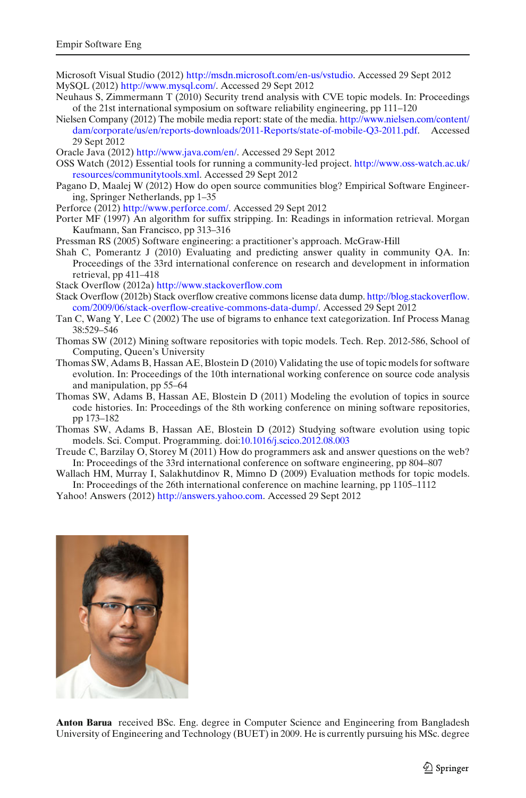<span id="page-34-0"></span>Microsoft Visual Studio (2012) [http://msdn.microsoft.com/en-us/vstudio.](http://msdn.microsoft.com/en-us/vstudio) Accessed 29 Sept 2012 MySQL (2012) [http://www.mysql.com/.](http://www.mysql.com/) Accessed 29 Sept 2012

- Neuhaus S, Zimmermann T (2010) Security trend analysis with CVE topic models. In: Proceedings of the 21st international symposium on software reliability engineering, pp 111–120
- Nielsen Company (2012) The mobile media report: state of the media. [http://www.nielsen.com/content/](http://www.nielsen.com/content/dam/corporate/us/en/reports-downloads/2011-Reports/state-of-mobile-Q3-2011.pdf) [dam/corporate/us/en/reports-downloads/2011-Reports/state-of-mobile-Q3-2011.pdf.](http://www.nielsen.com/content/dam/corporate/us/en/reports-downloads/2011-Reports/state-of-mobile-Q3-2011.pdf) Accessed 29 Sept 2012

Oracle Java (2012) [http://www.java.com/en/.](http://www.java.com/en/) Accessed 29 Sept 2012

- OSS Watch (2012) Essential tools for running a community-led project. [http://www.oss-watch.ac.uk/](http://www.oss-watch.ac.uk/resources/communitytools.xml) [resources/communitytools.xml.](http://www.oss-watch.ac.uk/resources/communitytools.xml) Accessed 29 Sept 2012
- Pagano D, Maalej W (2012) How do open source communities blog? Empirical Software Engineering, Springer Netherlands, pp 1–35
- Perforce (2012) [http://www.perforce.com/.](http://www.perforce.com/) Accessed 29 Sept 2012
- Porter MF (1997) An algorithm for suffix stripping. In: Readings in information retrieval. Morgan Kaufmann, San Francisco, pp 313–316
- Pressman RS (2005) Software engineering: a practitioner's approach. McGraw-Hill
- Shah C, Pomerantz J (2010) Evaluating and predicting answer quality in community QA. In: Proceedings of the 33rd international conference on research and development in information retrieval, pp 411–418

Stack Overflow (2012a) <http://www.stackoverflow.com>

- Stack Overflow (2012b) Stack overflow creative commons license data dump. [http://blog.stackoverflow.](http://blog.stackoverflow.com/2009/06/stack-overflow-creative-commons-data-dump/) [com/2009/06/stack-overflow-creative-commons-data-dump/.](http://blog.stackoverflow.com/2009/06/stack-overflow-creative-commons-data-dump/) Accessed 29 Sept 2012
- Tan C, Wang Y, Lee C (2002) The use of bigrams to enhance text categorization. Inf Process Manag 38:529–546
- Thomas SW (2012) Mining software repositories with topic models. Tech. Rep. 2012-586, School of Computing, Queen's University
- Thomas SW, Adams B, Hassan AE, Blostein D (2010) Validating the use of topic models for software evolution. In: Proceedings of the 10th international working conference on source code analysis and manipulation, pp 55–64
- Thomas SW, Adams B, Hassan AE, Blostein D (2011) Modeling the evolution of topics in source code histories. In: Proceedings of the 8th working conference on mining software repositories, pp 173–182
- Thomas SW, Adams B, Hassan AE, Blostein D (2012) Studying software evolution using topic models. Sci. Comput. Programming. doi[:10.1016/j.scico.2012.08.003](http://dx.doi.org/10.1016/j.scico.2012.08.003)
- Treude C, Barzilay O, Storey M (2011) How do programmers ask and answer questions on the web? In: Proceedings of the 33rd international conference on software engineering, pp 804–807
- Wallach HM, Murray I, Salakhutdinov R, Mimno D (2009) Evaluation methods for topic models. In: Proceedings of the 26th international conference on machine learning, pp 1105–1112
- Yahoo! Answers (2012) [http://answers.yahoo.com.](http://answers.yahoo.com) Accessed 29 Sept 2012



**Anton Barua** received BSc. Eng. degree in Computer Science and Engineering from Bangladesh University of Engineering and Technology (BUET) in 2009. He is currently pursuing his MSc. degree